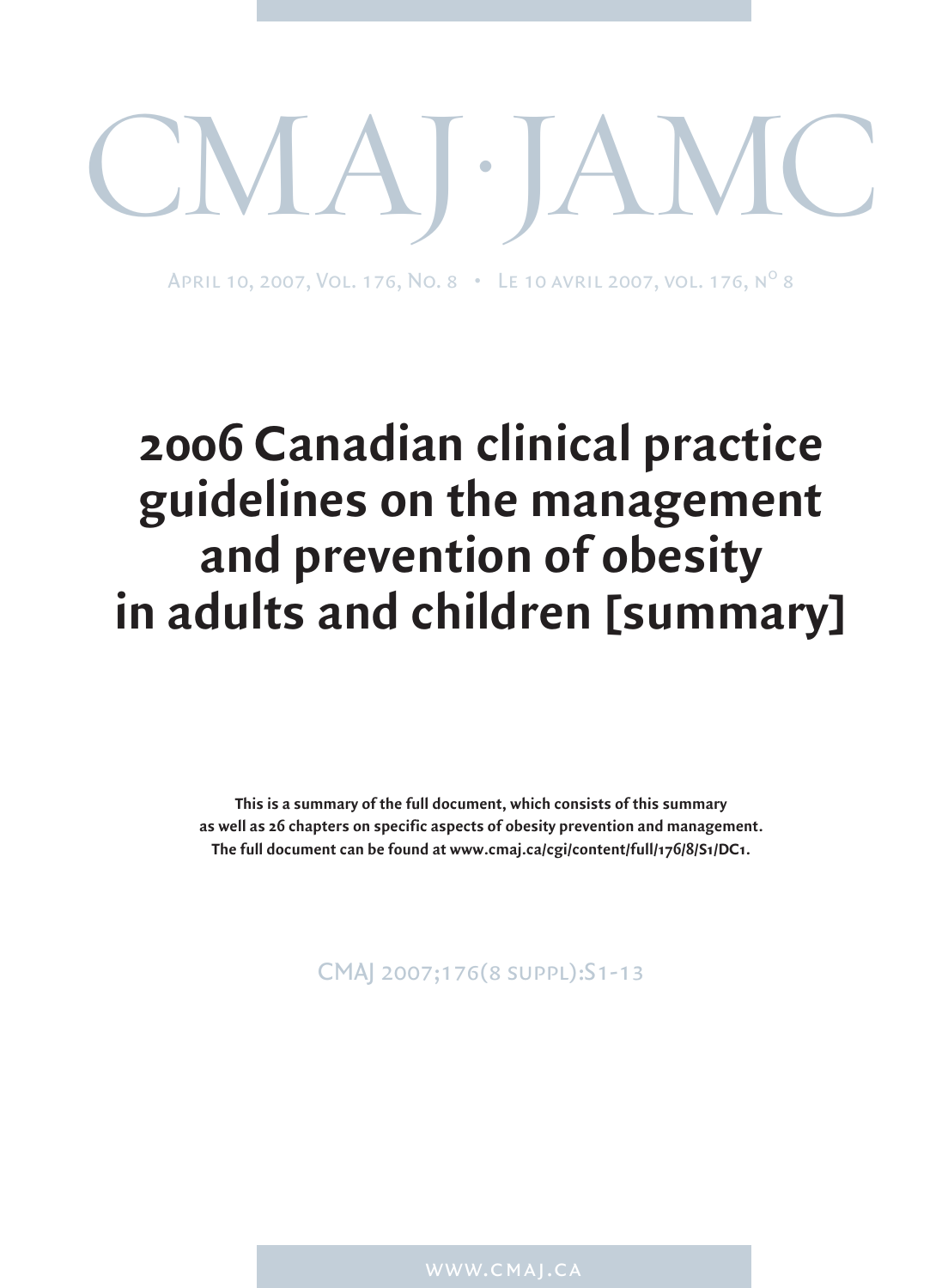# $\blacktriangle\|\cdot\|$

APRIL 10, 2007, VOL. 176, No. 8 • LE 10 AVRIL 2007, VOL. 176, N<sup>o</sup> 8

## **2006 Canadian clinical practice guidelines on the management and prevention of obesity in adults and children [summary]**

**This is a summary of the full document, which consists of this summary as well as 26 chapters on specific aspects of obesity prevention and management. The full document can be found at www.cmaj.ca/cgi/content/full/176/8/S1/DC1.**

CMAJ 2007;176(8 suppl):S1-13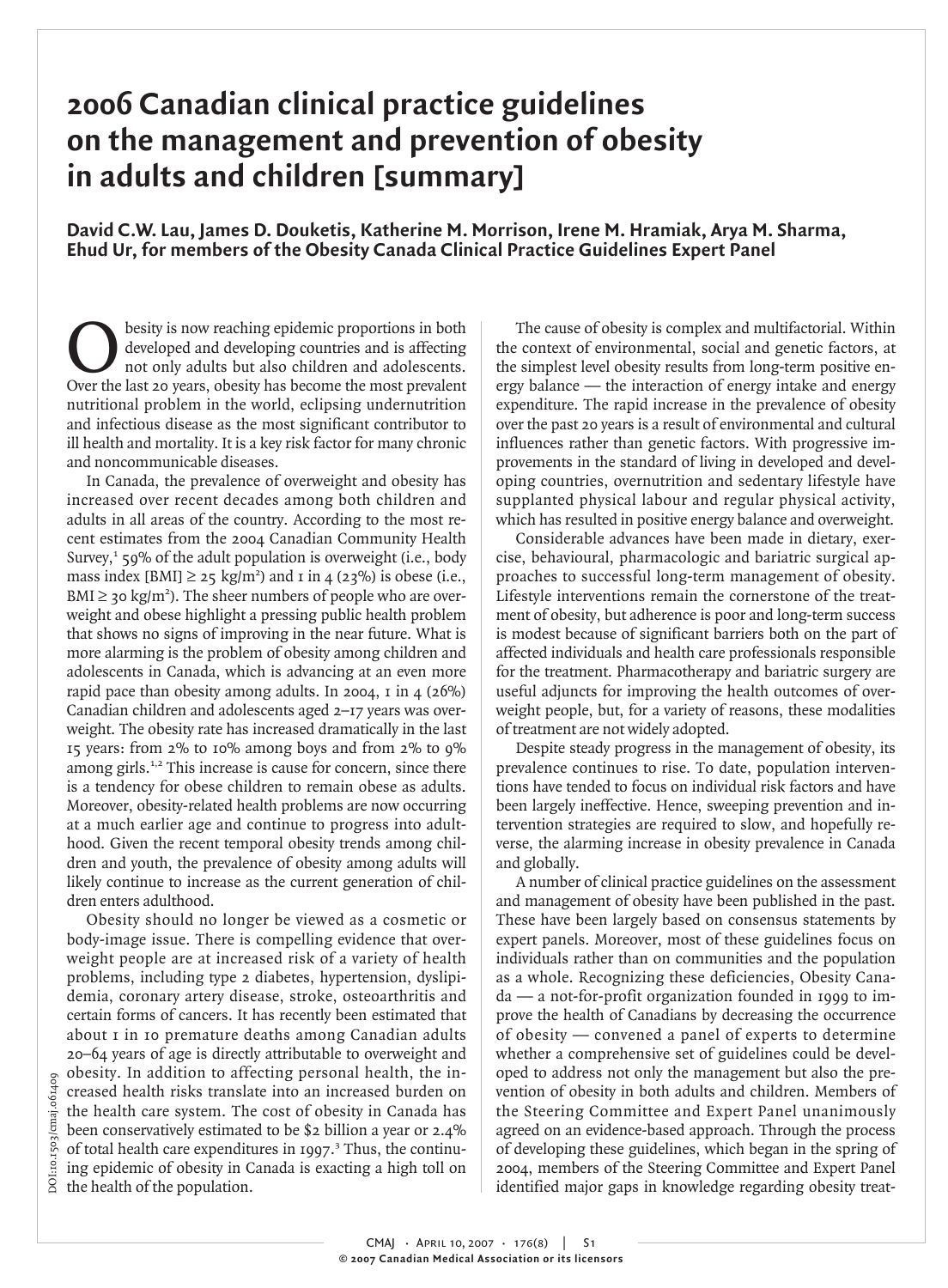### **2006 Canadian clinical practice guidelines on the management and prevention of obesity in adults and children [summary]**

**David C.W. Lau, James D. Douketis, Katherine M. Morrison, Irene M. Hramiak, Arya M. Sharma, Ehud Ur, for members of the Obesity Canada Clinical Practice Guidelines Expert Panel**

besity is now reaching epidemic proportions in both developed and developing countries and is affecting not only adults but also children and adolescents. Over the last 20 years, obesity has become the most prevalent nutritional problem in the world, eclipsing undernutrition and infectious disease as the most significant contributor to ill health and mortality. It is a key risk factor for many chronic and noncommunicable diseases.

In Canada, the prevalence of overweight and obesity has increased over recent decades among both children and adults in all areas of the country. According to the most recent estimates from the 2004 Canadian Community Health Survey, $1$ , 59% of the adult population is overweight (i.e., body mass index [BMI]  $\geq$  25 kg/m<sup>2</sup>) and 1 in 4 (23%) is obese (i.e.,  $BMI \geq 30$  kg/m<sup>2</sup>). The sheer numbers of people who are overweight and obese highlight a pressing public health problem that shows no signs of improving in the near future. What is more alarming is the problem of obesity among children and adolescents in Canada, which is advancing at an even more rapid pace than obesity among adults. In 2004,  $\pi$  in 4 (26%) Canadian children and adolescents aged 2–17 years was overweight. The obesity rate has increased dramatically in the last 15 years: from 2% to 10% among boys and from 2% to 9% among girls.<sup>1,2</sup> This increase is cause for concern, since there is a tendency for obese children to remain obese as adults. Moreover, obesity-related health problems are now occurring at a much earlier age and continue to progress into adulthood. Given the recent temporal obesity trends among children and youth, the prevalence of obesity among adults will likely continue to increase as the current generation of children enters adulthood.

Obesity should no longer be viewed as a cosmetic or body-image issue. There is compelling evidence that overweight people are at increased risk of a variety of health problems, including type 2 diabetes, hypertension, dyslipidemia, coronary artery disease, stroke, osteoarthritis and certain forms of cancers. It has recently been estimated that about I in 10 premature deaths among Canadian adults 20–64 years of age is directly attributable to overweight and obesity. In addition to affecting personal health, the increased health risks translate into an increased burden on the health care system. The cost of obesity in Canada has been conservatively estimated to be \$2 billion a year or 2.4% of total health care expenditures in  $1997$ .<sup>3</sup> Thus, the continuing epidemic of obesity in Canada is exacting a high toll on  $\frac{1}{8}$  the health of the population.

DOI:10.1503/cmaj.061409

 $10.1$ 

1503/cmaj.061409

The cause of obesity is complex and multifactorial. Within the context of environmental, social and genetic factors, at the simplest level obesity results from long-term positive energy balance — the interaction of energy intake and energy expenditure. The rapid increase in the prevalence of obesity over the past 20 years is a result of environmental and cultural influences rather than genetic factors. With progressive improvements in the standard of living in developed and developing countries, overnutrition and sedentary lifestyle have supplanted physical labour and regular physical activity, which has resulted in positive energy balance and overweight.

Considerable advances have been made in dietary, exercise, behavioural, pharmacologic and bariatric surgical approaches to successful long-term management of obesity. Lifestyle interventions remain the cornerstone of the treatment of obesity, but adherence is poor and long-term success is modest because of significant barriers both on the part of affected individuals and health care professionals responsible for the treatment. Pharmacotherapy and bariatric surgery are useful adjuncts for improving the health outcomes of overweight people, but, for a variety of reasons, these modalities of treatment are not widely adopted.

Despite steady progress in the management of obesity, its prevalence continues to rise. To date, population interventions have tended to focus on individual risk factors and have been largely ineffective. Hence, sweeping prevention and intervention strategies are required to slow, and hopefully reverse, the alarming increase in obesity prevalence in Canada and globally.

A number of clinical practice guidelines on the assessment and management of obesity have been published in the past. These have been largely based on consensus statements by expert panels. Moreover, most of these guidelines focus on individuals rather than on communities and the population as a whole. Recognizing these deficiencies, Obesity Canada — a not-for-profit organization founded in 1999 to improve the health of Canadians by decreasing the occurrence of obesity — convened a panel of experts to determine whether a comprehensive set of guidelines could be developed to address not only the management but also the prevention of obesity in both adults and children. Members of the Steering Committee and Expert Panel unanimously agreed on an evidence-based approach. Through the process of developing these guidelines, which began in the spring of 2004, members of the Steering Committee and Expert Panel identified major gaps in knowledge regarding obesity treat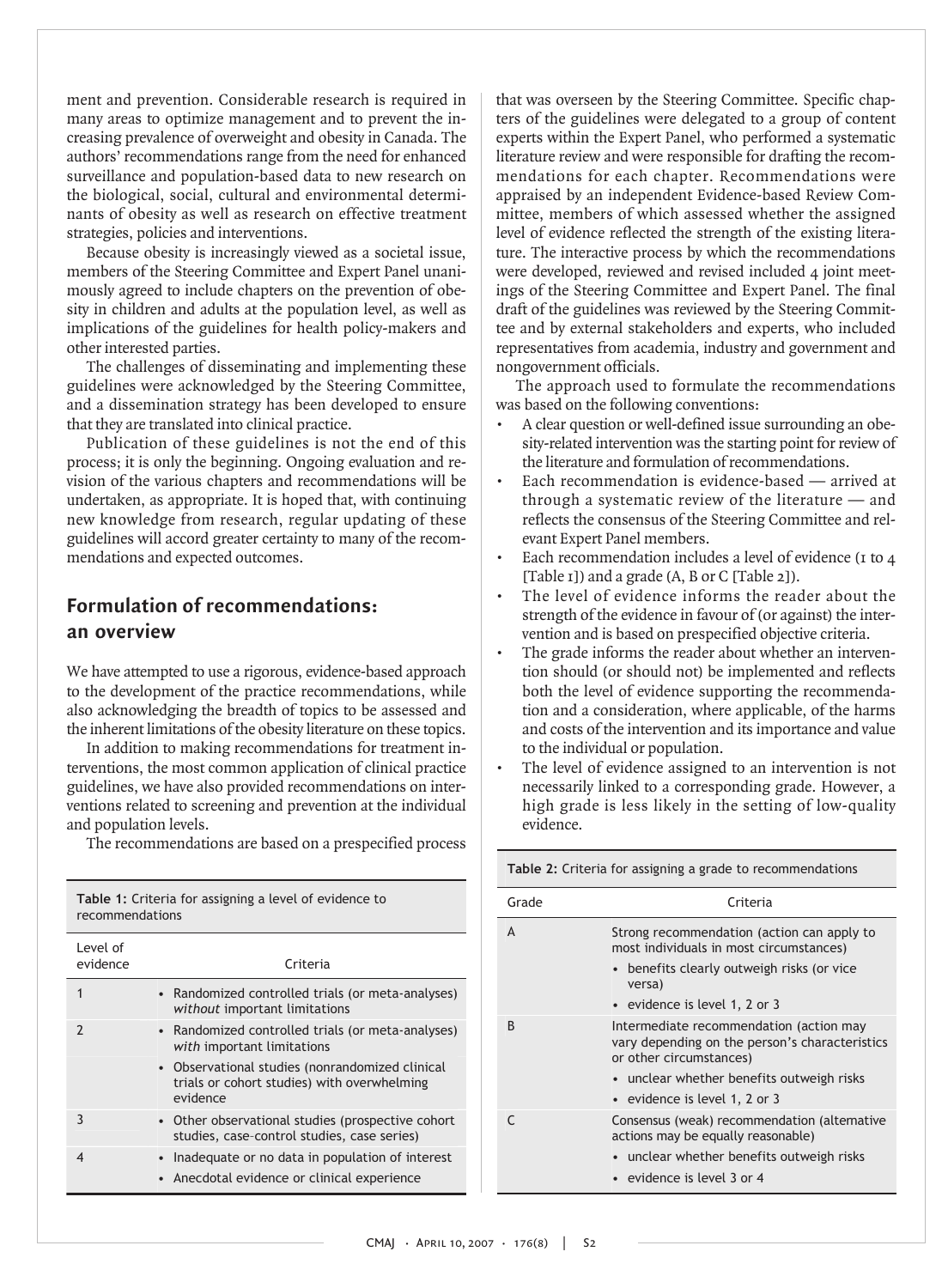ment and prevention. Considerable research is required in many areas to optimize management and to prevent the increasing prevalence of overweight and obesity in Canada. The authors' recommendations range from the need for enhanced surveillance and population-based data to new research on the biological, social, cultural and environmental determinants of obesity as well as research on effective treatment strategies, policies and interventions.

Because obesity is increasingly viewed as a societal issue, members of the Steering Committee and Expert Panel unanimously agreed to include chapters on the prevention of obesity in children and adults at the population level, as well as implications of the guidelines for health policy-makers and other interested parties.

The challenges of disseminating and implementing these guidelines were acknowledged by the Steering Committee, and a dissemination strategy has been developed to ensure that they are translated into clinical practice.

Publication of these guidelines is not the end of this process; it is only the beginning. Ongoing evaluation and revision of the various chapters and recommendations will be undertaken, as appropriate. It is hoped that, with continuing new knowledge from research, regular updating of these guidelines will accord greater certainty to many of the recommendations and expected outcomes.

#### **Formulation of recommendations: an overview**

We have attempted to use a rigorous, evidence-based approach to the development of the practice recommendations, while also acknowledging the breadth of topics to be assessed and the inherent limitations of the obesity literature on these topics.

In addition to making recommendations for treatment interventions, the most common application of clinical practice guidelines, we have also provided recommendations on interventions related to screening and prevention at the individual and population levels.

The recommendations are based on a prespecified process

**Table 1:** Criteria for assigning a level of evidence to recommendations

| Level of<br>evidence     | Criteria                                                                                                   |  |
|--------------------------|------------------------------------------------------------------------------------------------------------|--|
|                          | • Randomized controlled trials (or meta-analyses)<br>without important limitations                         |  |
| $\overline{\phantom{0}}$ | • Randomized controlled trials (or meta-analyses)<br>with important limitations                            |  |
|                          | • Observational studies (nonrandomized clinical<br>trials or cohort studies) with overwhelming<br>evidence |  |
| 3                        | • Other observational studies (prospective cohort<br>studies, case-control studies, case series)           |  |
| $\overline{4}$           | • Inadequate or no data in population of interest<br>• Anecdotal evidence or clinical experience           |  |

that was overseen by the Steering Committee. Specific chapters of the guidelines were delegated to a group of content experts within the Expert Panel, who performed a systematic literature review and were responsible for drafting the recommendations for each chapter. Recommendations were appraised by an independent Evidence-based Review Committee, members of which assessed whether the assigned level of evidence reflected the strength of the existing literature. The interactive process by which the recommendations were developed, reviewed and revised included 4 joint meetings of the Steering Committee and Expert Panel. The final draft of the guidelines was reviewed by the Steering Committee and by external stakeholders and experts, who included representatives from academia, industry and government and nongovernment officials.

The approach used to formulate the recommendations was based on the following conventions:

- A clear question or well-defined issue surrounding an obesity-related intervention was the starting point for review of the literature and formulation of recommendations.
- Each recommendation is evidence-based arrived at through a systematic review of the literature — and reflects the consensus of the Steering Committee and relevant Expert Panel members.
- Each recommendation includes a level of evidence (1 to 4 [Table 1]) and a grade (A, B or C [Table 2]).
- The level of evidence informs the reader about the strength of the evidence in favour of (or against) the intervention and is based on prespecified objective criteria.
- The grade informs the reader about whether an intervention should (or should not) be implemented and reflects both the level of evidence supporting the recommendation and a consideration, where applicable, of the harms and costs of the intervention and its importance and value to the individual or population.
- The level of evidence assigned to an intervention is not necessarily linked to a corresponding grade. However, a high grade is less likely in the setting of low-quality evidence.

| Grade | Criteria                                                                                                             |  |  |
|-------|----------------------------------------------------------------------------------------------------------------------|--|--|
| A     | Strong recommendation (action can apply to<br>most individuals in most circumstances)                                |  |  |
|       | • benefits clearly outweigh risks (or vice<br>versa)                                                                 |  |  |
|       | • evidence is level 1, 2 or 3                                                                                        |  |  |
| B     | Intermediate recommendation (action may<br>vary depending on the person's characteristics<br>or other circumstances) |  |  |
|       | • unclear whether benefits outweigh risks                                                                            |  |  |
|       | • evidence is level 1, 2 or 3                                                                                        |  |  |
|       | Consensus (weak) recommendation (altemative<br>actions may be equally reasonable)                                    |  |  |
|       | • unclear whether benefits outweigh risks                                                                            |  |  |
|       | • evidence is level 3 or 4                                                                                           |  |  |

**Table 2:** Criteria for assigning a grade to recommendations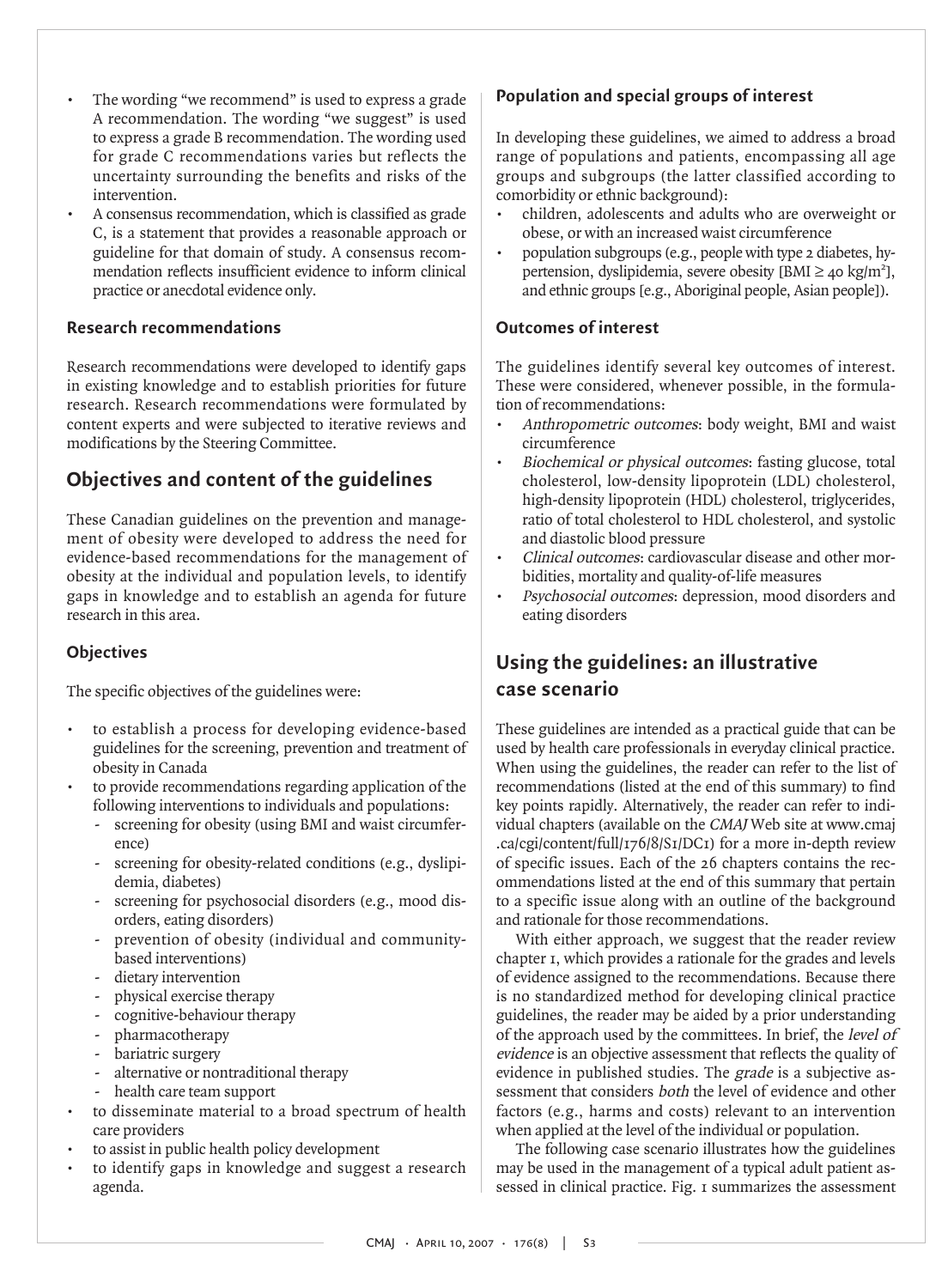- The wording "we recommend" is used to express a grade A recommendation. The wording "we suggest" is used to express a grade B recommendation. The wording used for grade C recommendations varies but reflects the uncertainty surrounding the benefits and risks of the intervention.
- A consensus recommendation, which is classified as grade C, is a statement that provides a reasonable approach or guideline for that domain of study. A consensus recommendation reflects insufficient evidence to inform clinical practice or anecdotal evidence only.

#### **Research recommendations**

Research recommendations were developed to identify gaps in existing knowledge and to establish priorities for future research. Research recommendations were formulated by content experts and were subjected to iterative reviews and modifications by the Steering Committee.

#### **Objectives and content of the guidelines**

These Canadian guidelines on the prevention and management of obesity were developed to address the need for evidence-based recommendations for the management of obesity at the individual and population levels, to identify gaps in knowledge and to establish an agenda for future research in this area.

#### **Objectives**

The specific objectives of the guidelines were:

- to establish a process for developing evidence-based guidelines for the screening, prevention and treatment of obesity in Canada
- to provide recommendations regarding application of the following interventions to individuals and populations:
	- screening for obesity (using BMI and waist circumference)
	- screening for obesity-related conditions (e.g., dyslipidemia, diabetes)
	- screening for psychosocial disorders (e.g., mood disorders, eating disorders)
	- prevention of obesity (individual and communitybased interventions)
	- dietary intervention
	- physical exercise therapy
	- cognitive-behaviour therapy
	- pharmacotherapy
	- bariatric surgery
	- alternative or nontraditional therapy
	- health care team support
- to disseminate material to a broad spectrum of health care providers
- to assist in public health policy development
- to identify gaps in knowledge and suggest a research agenda.

#### **Population and special groups of interest**

In developing these guidelines, we aimed to address a broad range of populations and patients, encompassing all age groups and subgroups (the latter classified according to comorbidity or ethnic background):

- children, adolescents and adults who are overweight or obese, or with an increased waist circumference
- population subgroups (e.g., people with type 2 diabetes, hypertension, dyslipidemia, severe obesity [BMI  $\geq$  40 kg/m<sup>2</sup>], and ethnic groups [e.g., Aboriginal people, Asian people]).

#### **Outcomes of interest**

The guidelines identify several key outcomes of interest. These were considered, whenever possible, in the formulation of recommendations:

- Anthropometric outcomes: body weight, BMI and waist circumference
- Biochemical or physical outcomes: fasting glucose, total cholesterol, low-density lipoprotein (LDL) cholesterol, high-density lipoprotein (HDL) cholesterol, triglycerides, ratio of total cholesterol to HDL cholesterol, and systolic and diastolic blood pressure
- Clinical outcomes: cardiovascular disease and other morbidities, mortality and quality-of-life measures
- Psychosocial outcomes: depression, mood disorders and eating disorders

#### **Using the guidelines: an illustrative case scenario**

These guidelines are intended as a practical guide that can be used by health care professionals in everyday clinical practice. When using the guidelines, the reader can refer to the list of recommendations (listed at the end of this summary) to find key points rapidly. Alternatively, the reader can refer to individual chapters (available on the CMAJ Web site at www.cmaj .ca/cgi/content/full/176/8/S1/DC1) for a more in-depth review of specific issues. Each of the 26 chapters contains the recommendations listed at the end of this summary that pertain to a specific issue along with an outline of the background and rationale for those recommendations.

With either approach, we suggest that the reader review chapter 1, which provides a rationale for the grades and levels of evidence assigned to the recommendations. Because there is no standardized method for developing clinical practice guidelines, the reader may be aided by a prior understanding of the approach used by the committees. In brief, the level of evidence is an objective assessment that reflects the quality of evidence in published studies. The grade is a subjective assessment that considers both the level of evidence and other factors (e.g., harms and costs) relevant to an intervention when applied at the level of the individual or population.

The following case scenario illustrates how the guidelines may be used in the management of a typical adult patient assessed in clinical practice. Fig. 1 summarizes the assessment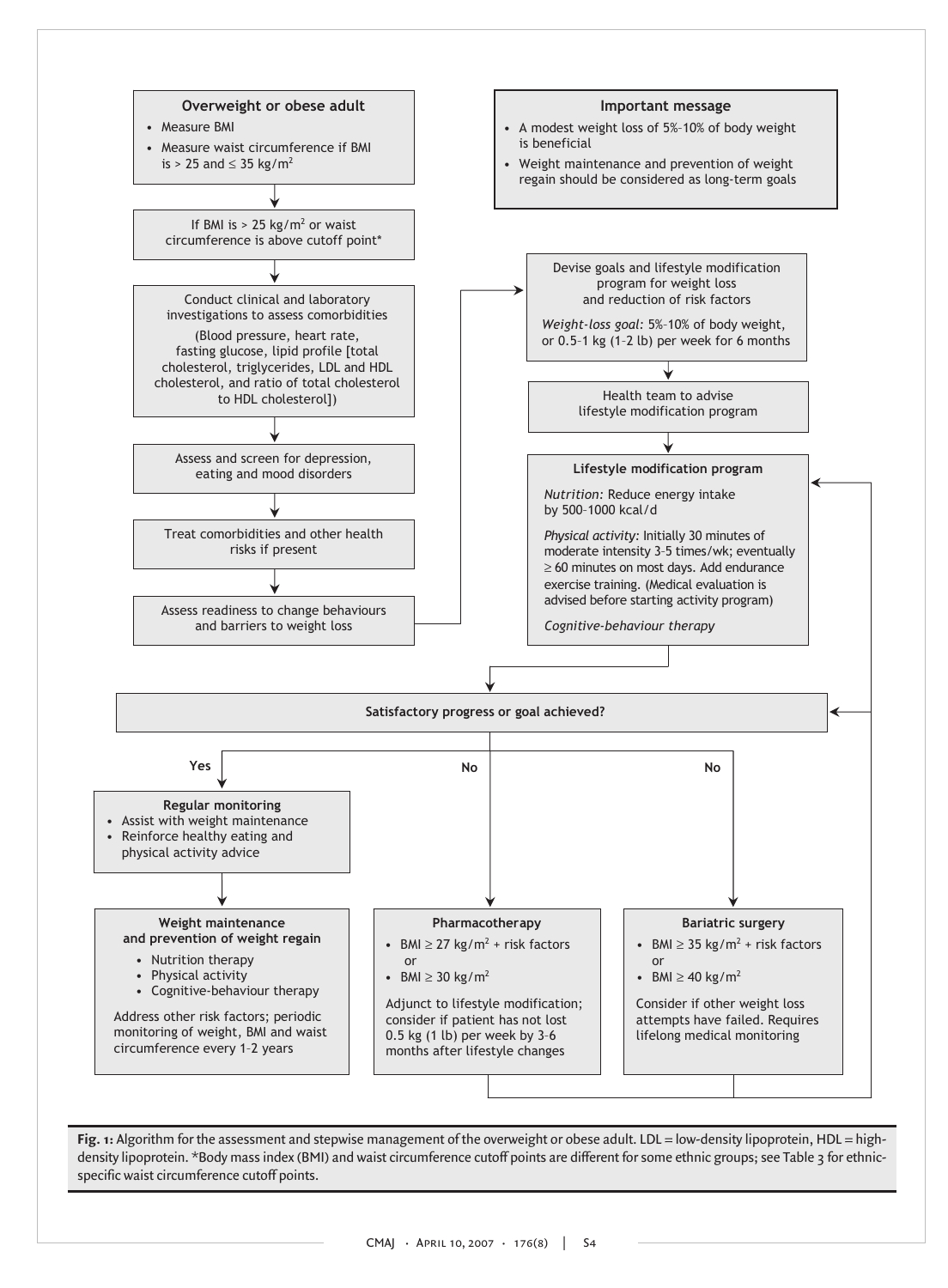

Fig. 1: Algorithm for the assessment and stepwise management of the overweight or obese adult. LDL = low-density lipoprotein, HDL = highdensity lipoprotein. \*Body mass index (BMI) and waist circumference cutoff points are different for some ethnic groups; see Table 3 for ethnicspecific waist circumference cutoff points.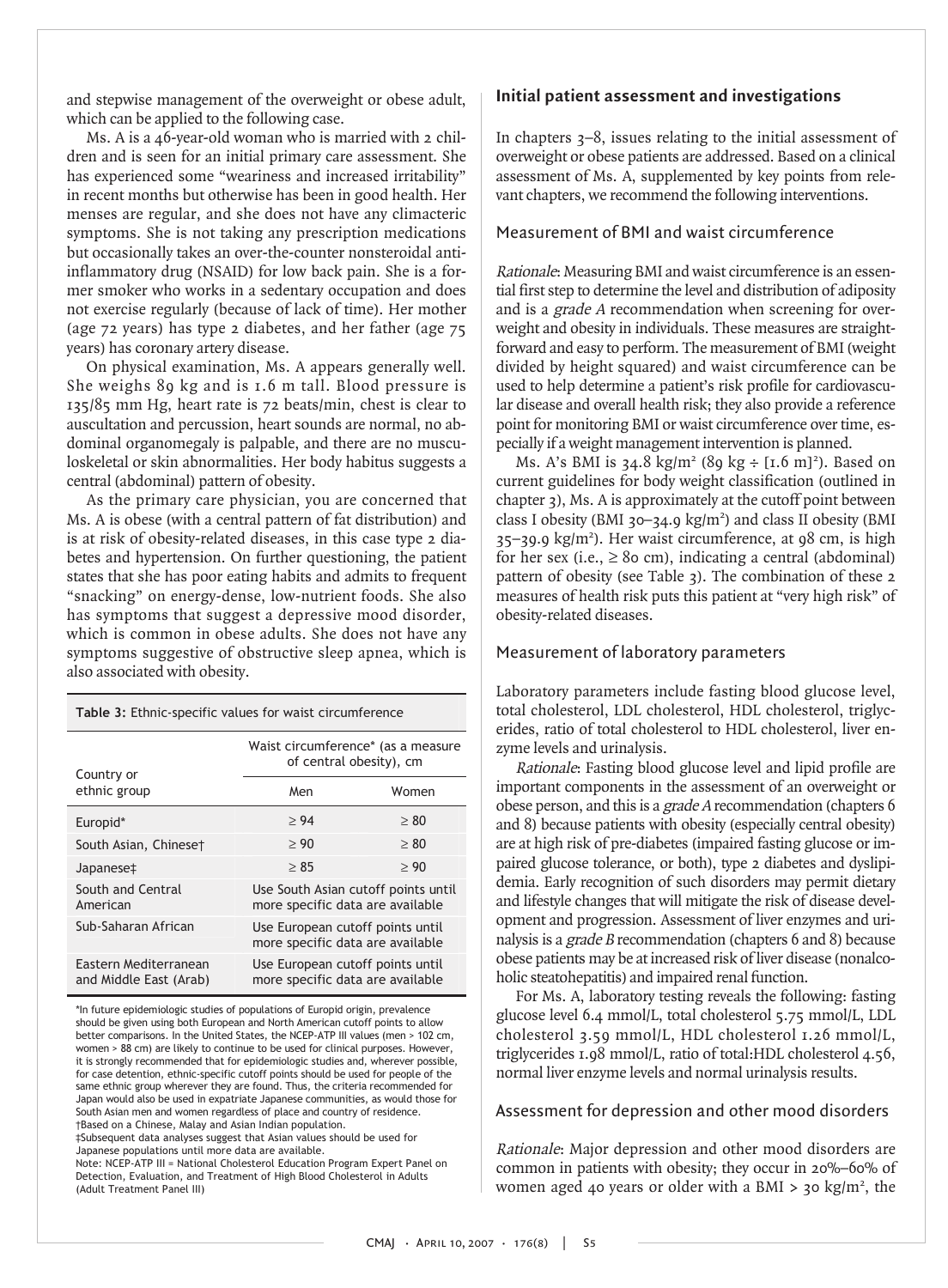and stepwise management of the overweight or obese adult, which can be applied to the following case.

Ms. A is a 46-year-old woman who is married with 2 children and is seen for an initial primary care assessment. She has experienced some "weariness and increased irritability" in recent months but otherwise has been in good health. Her menses are regular, and she does not have any climacteric symptoms. She is not taking any prescription medications but occasionally takes an over-the-counter nonsteroidal antiinflammatory drug (NSAID) for low back pain. She is a former smoker who works in a sedentary occupation and does not exercise regularly (because of lack of time). Her mother (age 72 years) has type 2 diabetes, and her father (age 75 years) has coronary artery disease.

On physical examination, Ms. A appears generally well. She weighs 89 kg and is 1.6 m tall. Blood pressure is 135/85 mm Hg, heart rate is 72 beats/min, chest is clear to auscultation and percussion, heart sounds are normal, no abdominal organomegaly is palpable, and there are no musculoskeletal or skin abnormalities. Her body habitus suggests a central (abdominal) pattern of obesity.

As the primary care physician, you are concerned that Ms. A is obese (with a central pattern of fat distribution) and is at risk of obesity-related diseases, in this case type 2 diabetes and hypertension. On further questioning, the patient states that she has poor eating habits and admits to frequent "snacking" on energy-dense, low-nutrient foods. She also has symptoms that suggest a depressive mood disorder, which is common in obese adults. She does not have any symptoms suggestive of obstructive sleep apnea, which is also associated with obesity.

| Table 3: Ethnic-specific values for waist circumference |                                                                         |           |  |  |
|---------------------------------------------------------|-------------------------------------------------------------------------|-----------|--|--|
| Country or                                              | Waist circumference* (as a measure<br>of central obesity), cm           |           |  |  |
| ethnic group                                            | Men                                                                     | Women     |  |  |
| Europid*                                                | $\geq 94$                                                               | $\geq 80$ |  |  |
| South Asian, Chineset                                   | > 90                                                                    | > 80      |  |  |
| Japanese‡                                               | $\geq 85$                                                               | $\geq 90$ |  |  |
| South and Central<br>American                           | Use South Asian cutoff points until<br>more specific data are available |           |  |  |
| Sub-Saharan African                                     | Use European cutoff points until<br>more specific data are available    |           |  |  |
| Eastern Mediterranean<br>and Middle East (Arab)         | Use European cutoff points until<br>more specific data are available    |           |  |  |

\*In future epidemiologic studies of populations of Europid origin, prevalence should be given using both European and North American cutoff points to allow better comparisons. In the United States, the NCEP-ATP III values (men > 102 cm, women > 88 cm) are likely to continue to be used for clinical purposes. However, it is strongly recommended that for epidemiologic studies and, wherever possible, for case detention, ethnic-specific cutoff points should be used for people of the same ethnic group wherever they are found. Thus, the criteria recommended for Japan would also be used in expatriate Japanese communities, as would those for South Asian men and women regardless of place and country of residence. †Based on a Chinese, Malay and Asian Indian population.

‡Subsequent data analyses suggest that Asian values should be used for Japanese populations until more data are available.

Note: NCEP-ATP III = National Cholesterol Education Program Expert Panel on Detection, Evaluation, and Treatment of High Blood Cholesterol in Adults (Adult Treatment Panel III)

#### **Initial patient assessment and investigations**

In chapters 3–8, issues relating to the initial assessment of overweight or obese patients are addressed. Based on a clinical assessment of Ms. A, supplemented by key points from relevant chapters, we recommend the following interventions.

#### Measurement of BMI and waist circumference

Rationale: Measuring BMI and waist circumference is an essential first step to determine the level and distribution of adiposity and is a grade A recommendation when screening for overweight and obesity in individuals. These measures are straightforward and easy to perform. The measurement of BMI (weight divided by height squared) and waist circumference can be used to help determine a patient's risk profile for cardiovascular disease and overall health risk; they also provide a reference point for monitoring BMI or waist circumference over time, especially if a weight management intervention is planned.

Ms. A's BMI is 34.8 kg/m<sup>2</sup> (89 kg ÷ [1.6 m]<sup>2</sup>). Based on current guidelines for body weight classification (outlined in chapter 3), Ms. A is approximately at the cutoff point between class I obesity (BMI 30-34.9 kg/m<sup>2</sup>) and class II obesity (BMI 35-39.9 kg/m<sup>2</sup>). Her waist circumference, at 98 cm, is high for her sex (i.e.,  $\geq 8$ o cm), indicating a central (abdominal) pattern of obesity (see Table 3). The combination of these 2 measures of health risk puts this patient at "very high risk" of obesity-related diseases.

#### Measurement of laboratory parameters

Laboratory parameters include fasting blood glucose level, total cholesterol, LDL cholesterol, HDL cholesterol, triglycerides, ratio of total cholesterol to HDL cholesterol, liver enzyme levels and urinalysis.

Rationale: Fasting blood glucose level and lipid profile are important components in the assessment of an overweight or obese person, and this is a grade A recommendation (chapters 6 and 8) because patients with obesity (especially central obesity) are at high risk of pre-diabetes (impaired fasting glucose or impaired glucose tolerance, or both), type 2 diabetes and dyslipidemia. Early recognition of such disorders may permit dietary and lifestyle changes that will mitigate the risk of disease development and progression. Assessment of liver enzymes and urinalysis is a *grade B* recommendation (chapters 6 and 8) because obese patients may be at increased risk of liver disease (nonalcoholic steatohepatitis) and impaired renal function.

For Ms. A, laboratory testing reveals the following: fasting glucose level 6.4 mmol/L, total cholesterol 5.75 mmol/L, LDL cholesterol 3.59 mmol/L, HDL cholesterol 1.26 mmol/L, triglycerides 1.98 mmol/L, ratio of total:HDL cholesterol 4.56, normal liver enzyme levels and normal urinalysis results.

#### Assessment for depression and other mood disorders

Rationale: Major depression and other mood disorders are common in patients with obesity; they occur in 20%–60% of women aged 40 years or older with a BMI > 30 kg/m<sup>2</sup>, the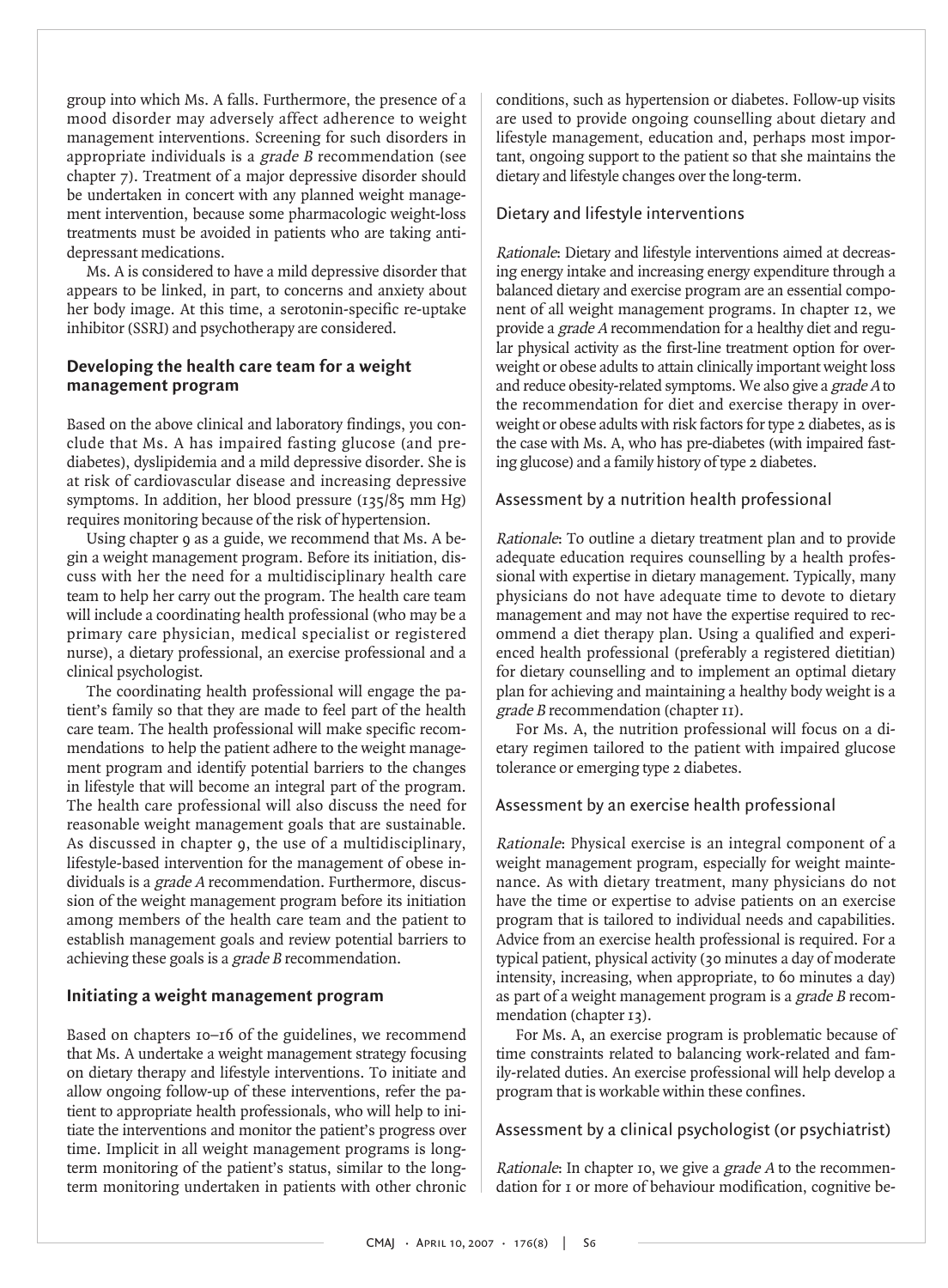group into which Ms. A falls. Furthermore, the presence of a mood disorder may adversely affect adherence to weight management interventions. Screening for such disorders in appropriate individuals is a grade B recommendation (see chapter 7). Treatment of a major depressive disorder should be undertaken in concert with any planned weight management intervention, because some pharmacologic weight-loss treatments must be avoided in patients who are taking antidepressant medications.

Ms. A is considered to have a mild depressive disorder that appears to be linked, in part, to concerns and anxiety about her body image. At this time, a serotonin-specific re-uptake inhibitor (SSRI) and psychotherapy are considered.

#### **Developing the health care team for a weight management program**

Based on the above clinical and laboratory findings, you conclude that Ms. A has impaired fasting glucose (and prediabetes), dyslipidemia and a mild depressive disorder. She is at risk of cardiovascular disease and increasing depressive symptoms. In addition, her blood pressure (135/85 mm Hg) requires monitoring because of the risk of hypertension.

Using chapter 9 as a guide, we recommend that Ms. A begin a weight management program. Before its initiation, discuss with her the need for a multidisciplinary health care team to help her carry out the program. The health care team will include a coordinating health professional (who may be a primary care physician, medical specialist or registered nurse), a dietary professional, an exercise professional and a clinical psychologist.

The coordinating health professional will engage the patient's family so that they are made to feel part of the health care team. The health professional will make specific recommendations to help the patient adhere to the weight management program and identify potential barriers to the changes in lifestyle that will become an integral part of the program. The health care professional will also discuss the need for reasonable weight management goals that are sustainable. As discussed in chapter 9, the use of a multidisciplinary, lifestyle-based intervention for the management of obese individuals is a grade A recommendation. Furthermore, discussion of the weight management program before its initiation among members of the health care team and the patient to establish management goals and review potential barriers to achieving these goals is a *grade B* recommendation.

#### **Initiating a weight management program**

Based on chapters 10–16 of the guidelines, we recommend that Ms. A undertake a weight management strategy focusing on dietary therapy and lifestyle interventions. To initiate and allow ongoing follow-up of these interventions, refer the patient to appropriate health professionals, who will help to initiate the interventions and monitor the patient's progress over time. Implicit in all weight management programs is longterm monitoring of the patient's status, similar to the longterm monitoring undertaken in patients with other chronic conditions, such as hypertension or diabetes. Follow-up visits are used to provide ongoing counselling about dietary and lifestyle management, education and, perhaps most important, ongoing support to the patient so that she maintains the dietary and lifestyle changes over the long-term.

#### Dietary and lifestyle interventions

Rationale: Dietary and lifestyle interventions aimed at decreasing energy intake and increasing energy expenditure through a balanced dietary and exercise program are an essential component of all weight management programs. In chapter 12, we provide a grade A recommendation for a healthy diet and regular physical activity as the first-line treatment option for overweight or obese adults to attain clinically important weight loss and reduce obesity-related symptoms. We also give a grade A to the recommendation for diet and exercise therapy in overweight or obese adults with risk factors for type 2 diabetes, as is the case with Ms. A, who has pre-diabetes (with impaired fasting glucose) and a family history of type 2 diabetes.

#### Assessment by a nutrition health professional

Rationale: To outline a dietary treatment plan and to provide adequate education requires counselling by a health professional with expertise in dietary management. Typically, many physicians do not have adequate time to devote to dietary management and may not have the expertise required to recommend a diet therapy plan. Using a qualified and experienced health professional (preferably a registered dietitian) for dietary counselling and to implement an optimal dietary plan for achieving and maintaining a healthy body weight is a grade B recommendation (chapter 11).

For Ms. A, the nutrition professional will focus on a dietary regimen tailored to the patient with impaired glucose tolerance or emerging type 2 diabetes.

#### Assessment by an exercise health professional

Rationale: Physical exercise is an integral component of a weight management program, especially for weight maintenance. As with dietary treatment, many physicians do not have the time or expertise to advise patients on an exercise program that is tailored to individual needs and capabilities. Advice from an exercise health professional is required. For a typical patient, physical activity (30 minutes a day of moderate intensity, increasing, when appropriate, to 60 minutes a day) as part of a weight management program is a grade B recommendation (chapter 13).

For Ms. A, an exercise program is problematic because of time constraints related to balancing work-related and family-related duties. An exercise professional will help develop a program that is workable within these confines.

#### Assessment by a clinical psychologist (or psychiatrist)

Rationale: In chapter 10, we give a grade A to the recommendation for 1 or more of behaviour modification, cognitive be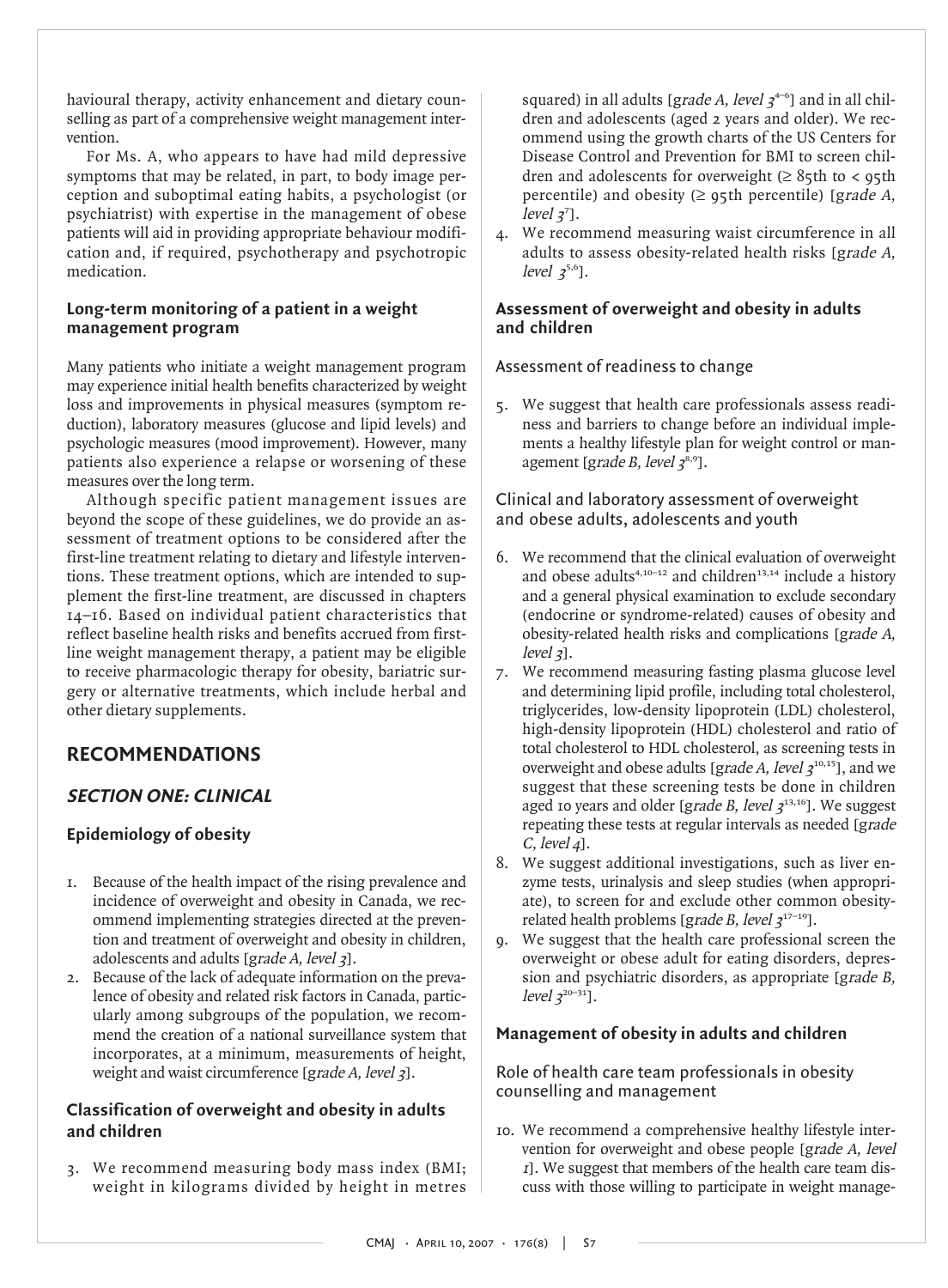havioural therapy, activity enhancement and dietary counselling as part of a comprehensive weight management intervention.

For Ms. A, who appears to have had mild depressive symptoms that may be related, in part, to body image perception and suboptimal eating habits, a psychologist (or psychiatrist) with expertise in the management of obese patients will aid in providing appropriate behaviour modification and, if required, psychotherapy and psychotropic medication.

#### **Long-term monitoring of a patient in a weight management program**

Many patients who initiate a weight management program may experience initial health benefits characterized by weight loss and improvements in physical measures (symptom reduction), laboratory measures (glucose and lipid levels) and psychologic measures (mood improvement). However, many patients also experience a relapse or worsening of these measures over the long term.

Although specific patient management issues are beyond the scope of these guidelines, we do provide an assessment of treatment options to be considered after the first-line treatment relating to dietary and lifestyle interventions. These treatment options, which are intended to supplement the first-line treatment, are discussed in chapters 14–16. Based on individual patient characteristics that reflect baseline health risks and benefits accrued from firstline weight management therapy, a patient may be eligible to receive pharmacologic therapy for obesity, bariatric surgery or alternative treatments, which include herbal and other dietary supplements.

#### **RECOMMENDATIONS**

#### **SECTION ONE: CLINICAL**

#### **Epidemiology of obesity**

- 1. Because of the health impact of the rising prevalence and incidence of overweight and obesity in Canada, we recommend implementing strategies directed at the prevention and treatment of overweight and obesity in children, adolescents and adults [grade A, level 3].
- 2. Because of the lack of adequate information on the prevalence of obesity and related risk factors in Canada, particularly among subgroups of the population, we recommend the creation of a national surveillance system that incorporates, at a minimum, measurements of height, weight and waist circumference [grade A, level 3].

#### **Classification of overweight and obesity in adults and children**

3. We recommend measuring body mass index (BMI; weight in kilograms divided by height in metres squared) in all adults [grade A, level  $3^{4-6}$ ] and in all children and adolescents (aged 2 years and older). We recommend using the growth charts of the US Centers for Disease Control and Prevention for BMI to screen children and adolescents for overweight ( $\geq 8$ 5th to < 95th percentile) and obesity  $(≥$  95th percentile) [grade A,  $\tilde{l}$ evel 3<sup>7</sup>].

4. We recommend measuring waist circumference in all adults to assess obesity-related health risks [grade A, level  $3^{5,6}$ ].

#### **Assessment of overweight and obesity in adults and children**

#### Assessment of readiness to change

5. We suggest that health care professionals assess readiness and barriers to change before an individual implements a healthy lifestyle plan for weight control or management [grade  $B$ , level  $3^{8,9}$ ].

#### Clinical and laboratory assessment of overweight and obese adults, adolescents and youth

- 6. We recommend that the clinical evaluation of overweight and obese adults<sup>4,10-12</sup> and children<sup>13,14</sup> include a history and a general physical examination to exclude secondary (endocrine or syndrome-related) causes of obesity and obesity-related health risks and complications [grade A,  $level 3$ .
- 7. We recommend measuring fasting plasma glucose level and determining lipid profile, including total cholesterol, triglycerides, low-density lipoprotein (LDL) cholesterol, high-density lipoprotein (HDL) cholesterol and ratio of total cholesterol to HDL cholesterol, as screening tests in overweight and obese adults [grade A, level  $3^{10,15}$ ], and we suggest that these screening tests be done in children aged 10 years and older [grade B, level  $3^{13,16}$ ]. We suggest repeating these tests at regular intervals as needed [grade  $C, level 4$ ].
- 8. We suggest additional investigations, such as liver enzyme tests, urinalysis and sleep studies (when appropriate), to screen for and exclude other common obesityrelated health problems [grade B, level  $3^{17-19}$ ].
- 9. We suggest that the health care professional screen the overweight or obese adult for eating disorders, depression and psychiatric disorders, as appropriate [grade B, level  $3^{20-31}$ ].

#### **Management of obesity in adults and children**

#### Role of health care team professionals in obesity counselling and management

10. We recommend a comprehensive healthy lifestyle intervention for overweight and obese people [grade A, level 1]. We suggest that members of the health care team discuss with those willing to participate in weight manage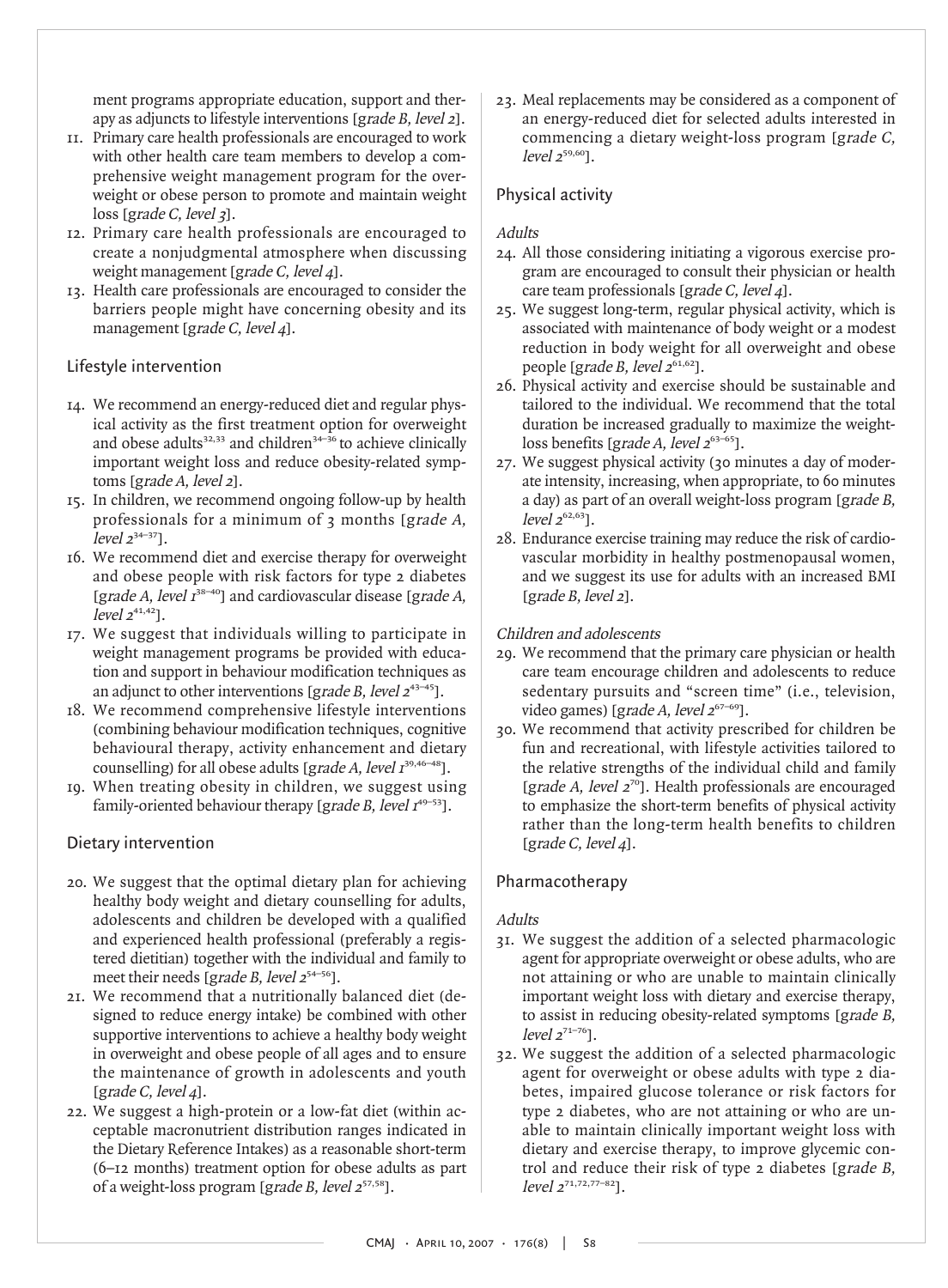ment programs appropriate education, support and therapy as adjuncts to lifestyle interventions [grade B, level 2].

- 11. Primary care health professionals are encouraged to work with other health care team members to develop a comprehensive weight management program for the overweight or obese person to promote and maintain weight loss [grade C, level 3].
- 12. Primary care health professionals are encouraged to create a nonjudgmental atmosphere when discussing weight management [grade C, level 4].
- 13. Health care professionals are encouraged to consider the barriers people might have concerning obesity and its management [grade C, level 4].

#### Lifestyle intervention

- 14. We recommend an energy-reduced diet and regular physical activity as the first treatment option for overweight and obese adults $32,33$  and children $34-36$  to achieve clinically important weight loss and reduce obesity-related symptoms [grade A, level 2].
- 15. In children, we recommend ongoing follow-up by health professionals for a minimum of 3 months [grade A,  $level 2^{34-37}$ ].
- 16. We recommend diet and exercise therapy for overweight and obese people with risk factors for type 2 diabetes [grade A, level  $I^{38-40}$ ] and cardiovascular disease [grade A,  $level 2^{41,42}$ ].
- 17. We suggest that individuals willing to participate in weight management programs be provided with education and support in behaviour modification techniques as an adjunct to other interventions [grade B, level  $2^{43-45}$ ].
- 18. We recommend comprehensive lifestyle interventions (combining behaviour modification techniques, cognitive behavioural therapy, activity enhancement and dietary counselling) for all obese adults [grade A, level  $I^{39,46-48}$ ].
- 19. When treating obesity in children, we suggest using family-oriented behaviour therapy [grade B, level  $I^{49-53}$ ].

#### Dietary intervention

- 20. We suggest that the optimal dietary plan for achieving healthy body weight and dietary counselling for adults, adolescents and children be developed with a qualified and experienced health professional (preferably a registered dietitian) together with the individual and family to meet their needs [grade B, level  $2^{54-56}$ ].
- 21. We recommend that a nutritionally balanced diet (designed to reduce energy intake) be combined with other supportive interventions to achieve a healthy body weight in overweight and obese people of all ages and to ensure the maintenance of growth in adolescents and youth [grade C, level 4].
- 22. We suggest a high-protein or a low-fat diet (within acceptable macronutrient distribution ranges indicated in the Dietary Reference Intakes) as a reasonable short-term (6–12 months) treatment option for obese adults as part of a weight-loss program [grade B, level  $2^{57,58}$ ].

23. Meal replacements may be considered as a component of an energy-reduced diet for selected adults interested in commencing a dietary weight-loss program [grade C,  $level 2^{59,60}$ .

#### Physical activity

#### **Adults**

- 24. All those considering initiating a vigorous exercise program are encouraged to consult their physician or health care team professionals [grade C, level 4].
- 25. We suggest long-term, regular physical activity, which is associated with maintenance of body weight or a modest reduction in body weight for all overweight and obese people [grade B, level  $2^{61,62}$ ].
- 26. Physical activity and exercise should be sustainable and tailored to the individual. We recommend that the total duration be increased gradually to maximize the weightloss benefits [grade A, level  $2^{63-65}$ ].
- 27. We suggest physical activity (30 minutes a day of moderate intensity, increasing, when appropriate, to 60 minutes a day) as part of an overall weight-loss program [grade B,  $level 2^{62, 63}$ ].
- 28. Endurance exercise training may reduce the risk of cardiovascular morbidity in healthy postmenopausal women, and we suggest its use for adults with an increased BMI [grade B, level 2].

#### Children and adolescents

- 29. We recommend that the primary care physician or health care team encourage children and adolescents to reduce sedentary pursuits and "screen time" (i.e., television, video games) [grade A, level  $2^{67-69}$ ].
- 30. We recommend that activity prescribed for children be fun and recreational, with lifestyle activities tailored to the relative strengths of the individual child and family [grade A, level 2<sup>70</sup>]. Health professionals are encouraged to emphasize the short-term benefits of physical activity rather than the long-term health benefits to children [grade C, level  $\triangleleft$ ].

#### Pharmacotherapy

#### Adults

- 31. We suggest the addition of a selected pharmacologic agent for appropriate overweight or obese adults, who are not attaining or who are unable to maintain clinically important weight loss with dietary and exercise therapy, to assist in reducing obesity-related symptoms [grade B,  $level 2^{71-76}$ ].
- 32. We suggest the addition of a selected pharmacologic agent for overweight or obese adults with type 2 diabetes, impaired glucose tolerance or risk factors for type 2 diabetes, who are not attaining or who are unable to maintain clinically important weight loss with dietary and exercise therapy, to improve glycemic control and reduce their risk of type 2 diabetes [grade B,  $level 2^{71,72,77-82}$ ].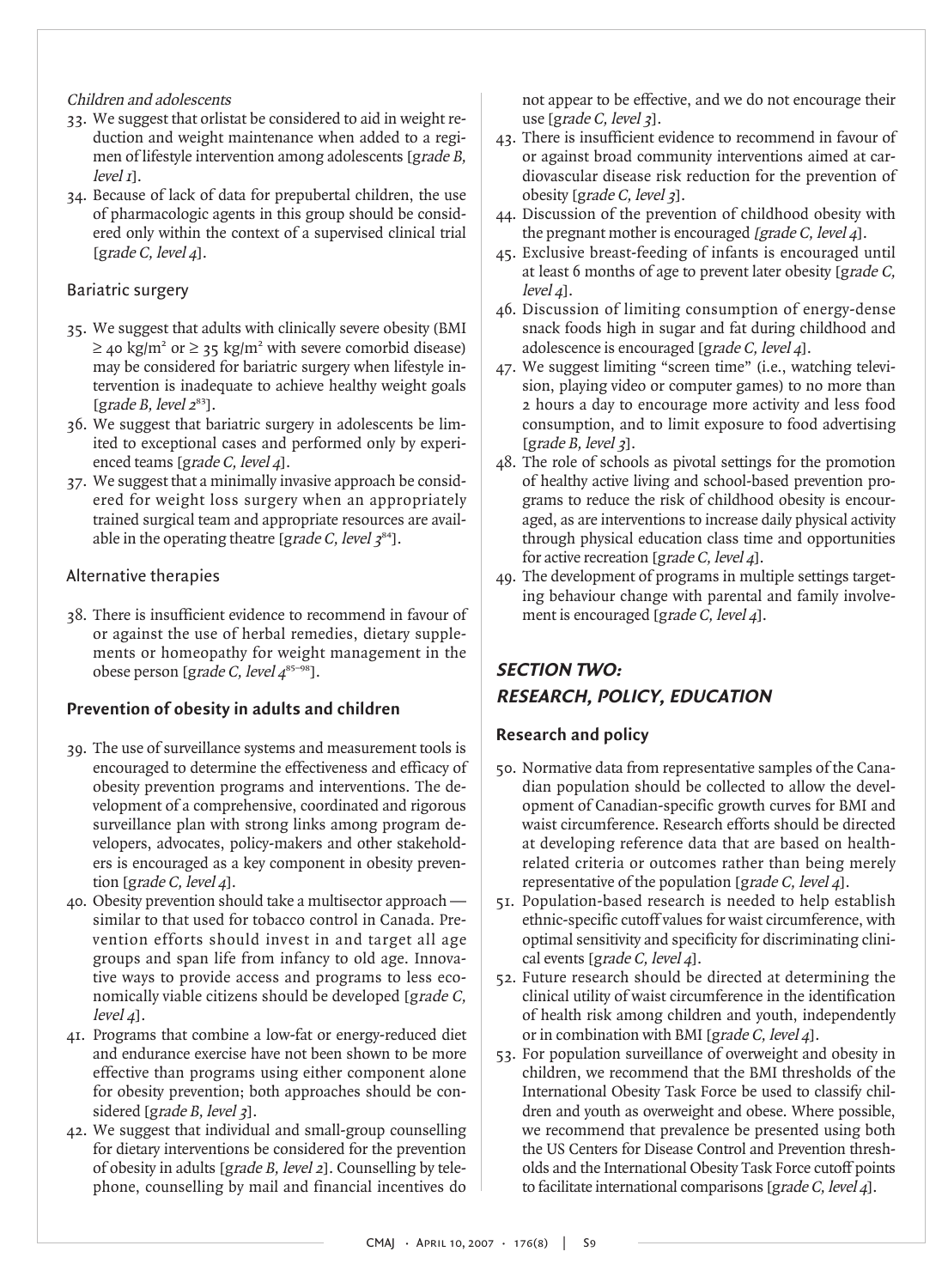#### Children and adolescents

- 33. We suggest that orlistat be considered to aid in weight reduction and weight maintenance when added to a regimen of lifestyle intervention among adolescents [grade B,  $level 1$ ].
- 34. Because of lack of data for prepubertal children, the use of pharmacologic agents in this group should be considered only within the context of a supervised clinical trial [grade C, level  $\phi$ ].

#### Bariatric surgery

- 35. We suggest that adults with clinically severe obesity (BMI  $\geq$  40 kg/m<sup>2</sup> or  $\geq$  35 kg/m<sup>2</sup> with severe comorbid disease) may be considered for bariatric surgery when lifestyle intervention is inadequate to achieve healthy weight goals [grade B, level  $2^{83}$ ].
- 36. We suggest that bariatric surgery in adolescents be limited to exceptional cases and performed only by experienced teams [grade C, level 4].
- 37. We suggest that a minimally invasive approach be considered for weight loss surgery when an appropriately trained surgical team and appropriate resources are available in the operating theatre [grade C, level  $3^{84}$ ].

#### Alternative therapies

38. There is insufficient evidence to recommend in favour of or against the use of herbal remedies, dietary supplements or homeopathy for weight management in the obese person [grade C, level  $4^{85-98}$ ].

#### **Prevention of obesity in adults and children**

- 39. The use of surveillance systems and measurement tools is encouraged to determine the effectiveness and efficacy of obesity prevention programs and interventions. The development of a comprehensive, coordinated and rigorous surveillance plan with strong links among program developers, advocates, policy-makers and other stakeholders is encouraged as a key component in obesity prevention [grade C, level 4].
- 40. Obesity prevention should take a multisector approach similar to that used for tobacco control in Canada. Prevention efforts should invest in and target all age groups and span life from infancy to old age. Innovative ways to provide access and programs to less economically viable citizens should be developed [grade C, level <sup>4</sup>].
- 41. Programs that combine a low-fat or energy-reduced diet and endurance exercise have not been shown to be more effective than programs using either component alone for obesity prevention; both approaches should be considered [grade B, level 3].
- 42. We suggest that individual and small-group counselling for dietary interventions be considered for the prevention of obesity in adults [grade B, level 2]. Counselling by telephone, counselling by mail and financial incentives do

not appear to be effective, and we do not encourage their use [grade C, level 3].

- 43. There is insufficient evidence to recommend in favour of or against broad community interventions aimed at cardiovascular disease risk reduction for the prevention of obesity [grade C, level 3].
- 44. Discussion of the prevention of childhood obesity with the pregnant mother is encouraged [grade  $C$ , level  $4$ ].
- 45. Exclusive breast-feeding of infants is encouraged until at least 6 months of age to prevent later obesity [grade C, level 4].
- 46. Discussion of limiting consumption of energy-dense snack foods high in sugar and fat during childhood and adolescence is encouraged [grade C, level 4].
- 47. We suggest limiting "screen time" (i.e., watching television, playing video or computer games) to no more than 2 hours a day to encourage more activity and less food consumption, and to limit exposure to food advertising [grade  $B$ , level  $3$ ].
- 48. The role of schools as pivotal settings for the promotion of healthy active living and school-based prevention programs to reduce the risk of childhood obesity is encouraged, as are interventions to increase daily physical activity through physical education class time and opportunities for active recreation [grade C, level  $\phi$ ].
- 49. The development of programs in multiple settings targeting behaviour change with parental and family involvement is encouraged [grade C, level 4].

#### **SECTION TWO: RESEARCH, POLICY, EDUCATION**

#### **Research and policy**

- 50. Normative data from representative samples of the Canadian population should be collected to allow the development of Canadian-specific growth curves for BMI and waist circumference. Research efforts should be directed at developing reference data that are based on healthrelated criteria or outcomes rather than being merely representative of the population [grade  $C$ , level  $4$ ].
- 51. Population-based research is needed to help establish ethnic-specific cutoff values for waist circumference, with optimal sensitivity and specificity for discriminating clinical events [grade C, level 4].
- 52. Future research should be directed at determining the clinical utility of waist circumference in the identification of health risk among children and youth, independently or in combination with BMI [grade C, level 4].
- 53. For population surveillance of overweight and obesity in children, we recommend that the BMI thresholds of the International Obesity Task Force be used to classify children and youth as overweight and obese. Where possible, we recommend that prevalence be presented using both the US Centers for Disease Control and Prevention thresholds and the International Obesity Task Force cutoff points to facilitate international comparisons [grade C, level 4].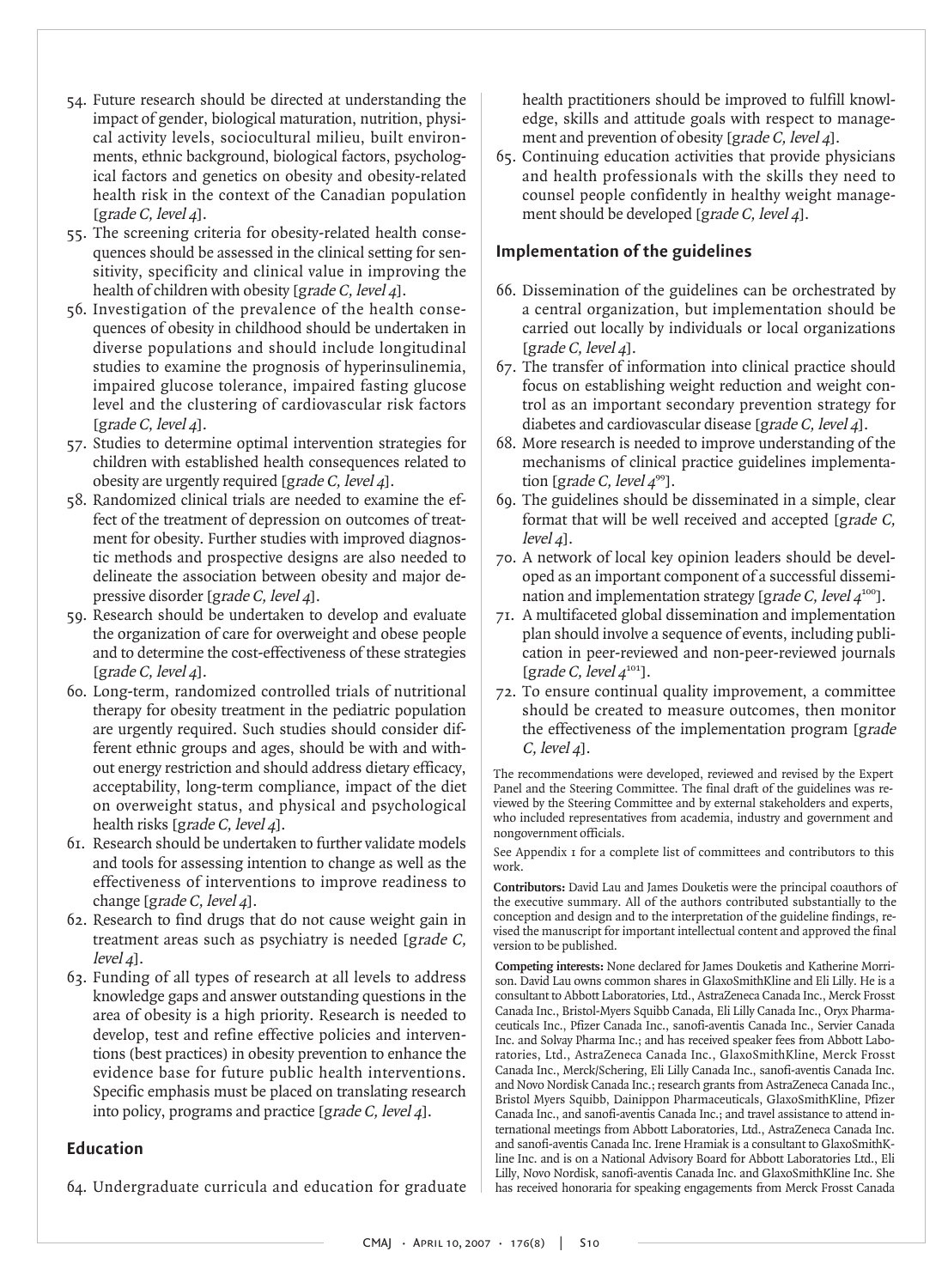- 54. Future research should be directed at understanding the impact of gender, biological maturation, nutrition, physical activity levels, sociocultural milieu, built environments, ethnic background, biological factors, psychological factors and genetics on obesity and obesity-related health risk in the context of the Canadian population [grade C, level 4].
- 55. The screening criteria for obesity-related health consequences should be assessed in the clinical setting for sensitivity, specificity and clinical value in improving the health of children with obesity [grade C, level 4].
- 56. Investigation of the prevalence of the health consequences of obesity in childhood should be undertaken in diverse populations and should include longitudinal studies to examine the prognosis of hyperinsulinemia, impaired glucose tolerance, impaired fasting glucose level and the clustering of cardiovascular risk factors [grade C, level  $4$ ].
- 57. Studies to determine optimal intervention strategies for children with established health consequences related to obesity are urgently required [grade C, level 4].
- 58. Randomized clinical trials are needed to examine the effect of the treatment of depression on outcomes of treatment for obesity. Further studies with improved diagnostic methods and prospective designs are also needed to delineate the association between obesity and major depressive disorder [grade C, level 4].
- 59. Research should be undertaken to develop and evaluate the organization of care for overweight and obese people and to determine the cost-effectiveness of these strategies [grade C, level  $4$ ].
- 60. Long-term, randomized controlled trials of nutritional therapy for obesity treatment in the pediatric population are urgently required. Such studies should consider different ethnic groups and ages, should be with and without energy restriction and should address dietary efficacy, acceptability, long-term compliance, impact of the diet on overweight status, and physical and psychological health risks [grade C, level 4].
- 61. Research should be undertaken to further validate models and tools for assessing intention to change as well as the effectiveness of interventions to improve readiness to change [grade C, level 4].
- 62. Research to find drugs that do not cause weight gain in treatment areas such as psychiatry is needed [grade C,  $level 4$ ].
- 63. Funding of all types of research at all levels to address knowledge gaps and answer outstanding questions in the area of obesity is a high priority. Research is needed to develop, test and refine effective policies and interventions (best practices) in obesity prevention to enhance the evidence base for future public health interventions. Specific emphasis must be placed on translating research into policy, programs and practice [grade C, level 4].

#### **Education**

64. Undergraduate curricula and education for graduate

health practitioners should be improved to fulfill knowledge, skills and attitude goals with respect to management and prevention of obesity [grade C, level 4].

65. Continuing education activities that provide physicians and health professionals with the skills they need to counsel people confidently in healthy weight management should be developed [grade C, level 4].

#### **Implementation of the guidelines**

- 66. Dissemination of the guidelines can be orchestrated by a central organization, but implementation should be carried out locally by individuals or local organizations [grade C, level  $4$ ].
- 67. The transfer of information into clinical practice should focus on establishing weight reduction and weight control as an important secondary prevention strategy for diabetes and cardiovascular disease [grade C, level 4].
- 68. More research is needed to improve understanding of the mechanisms of clinical practice guidelines implementation [grade C, level  $4^{99}$ ].
- 69. The guidelines should be disseminated in a simple, clear format that will be well received and accepted [grade C,  $level \Delta$ ].
- 70. A network of local key opinion leaders should be developed as an important component of a successful dissemination and implementation strategy [grade C, level  $4^{100}$ ].
- 71. A multifaceted global dissemination and implementation plan should involve a sequence of events, including publication in peer-reviewed and non-peer-reviewed journals [grade C, level  $4^{101}$ ].
- 72. To ensure continual quality improvement, a committee should be created to measure outcomes, then monitor the effectiveness of the implementation program [grade C, level  $\phi$ .

The recommendations were developed, reviewed and revised by the Expert Panel and the Steering Committee. The final draft of the guidelines was reviewed by the Steering Committee and by external stakeholders and experts, who included representatives from academia, industry and government and nongovernment officials.

See Appendix 1 for a complete list of committees and contributors to this work.

**Contributors:** David Lau and James Douketis were the principal coauthors of the executive summary. All of the authors contributed substantially to the conception and design and to the interpretation of the guideline findings, revised the manuscript for important intellectual content and approved the final version to be published.

**Competing interests:** None declared for James Douketis and Katherine Morrison. David Lau owns common shares in GlaxoSmithKline and Eli Lilly. He is a consultant to Abbott Laboratories, Ltd., AstraZeneca Canada Inc., Merck Frosst Canada Inc., Bristol-Myers Squibb Canada, Eli Lilly Canada Inc., Oryx Pharmaceuticals Inc., Pfizer Canada Inc., sanofi-aventis Canada Inc., Servier Canada Inc. and Solvay Pharma Inc.; and has received speaker fees from Abbott Laboratories, Ltd., AstraZeneca Canada Inc., GlaxoSmithKline, Merck Frosst Canada Inc., Merck/Schering, Eli Lilly Canada Inc., sanofi-aventis Canada Inc. and Novo Nordisk Canada Inc.; research grants from AstraZeneca Canada Inc., Bristol Myers Squibb, Dainippon Pharmaceuticals, GlaxoSmithKline, Pfizer Canada Inc., and sanofi-aventis Canada Inc.; and travel assistance to attend international meetings from Abbott Laboratories, Ltd., AstraZeneca Canada Inc. and sanofi-aventis Canada Inc. Irene Hramiak is a consultant to GlaxoSmithKline Inc. and is on a National Advisory Board for Abbott Laboratories Ltd., Eli Lilly, Novo Nordisk, sanofi-aventis Canada Inc. and GlaxoSmithKline Inc. She has received honoraria for speaking engagements from Merck Frosst Canada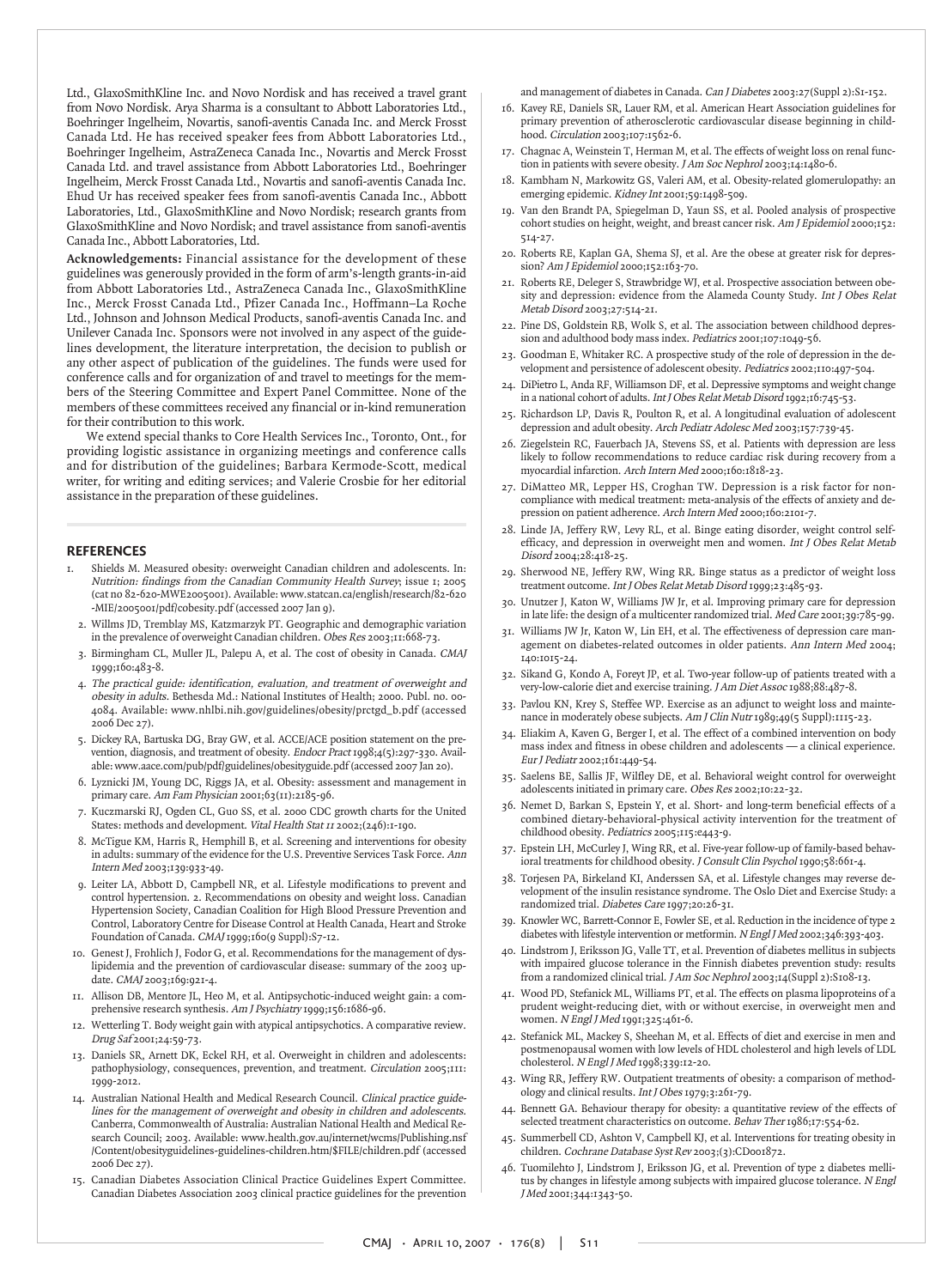Ltd., GlaxoSmithKline Inc. and Novo Nordisk and has received a travel grant from Novo Nordisk. Arya Sharma is a consultant to Abbott Laboratories Ltd., Boehringer Ingelheim, Novartis, sanofi-aventis Canada Inc. and Merck Frosst Canada Ltd. He has received speaker fees from Abbott Laboratories Ltd., Boehringer Ingelheim, AstraZeneca Canada Inc., Novartis and Merck Frosst Canada Ltd. and travel assistance from Abbott Laboratories Ltd., Boehringer Ingelheim, Merck Frosst Canada Ltd., Novartis and sanofi-aventis Canada Inc. Ehud Ur has received speaker fees from sanofi-aventis Canada Inc., Abbott Laboratories, Ltd., GlaxoSmithKline and Novo Nordisk; research grants from GlaxoSmithKline and Novo Nordisk; and travel assistance from sanofi-aventis Canada Inc., Abbott Laboratories, Ltd.

**Acknowledgements:** Financial assistance for the development of these guidelines was generously provided in the form of arm's-length grants-in-aid from Abbott Laboratories Ltd., AstraZeneca Canada Inc., GlaxoSmithKline Inc., Merck Frosst Canada Ltd., Pfizer Canada Inc., Hoffmann–La Roche Ltd., Johnson and Johnson Medical Products, sanofi-aventis Canada Inc. and Unilever Canada Inc. Sponsors were not involved in any aspect of the guidelines development, the literature interpretation, the decision to publish or any other aspect of publication of the guidelines. The funds were used for conference calls and for organization of and travel to meetings for the members of the Steering Committee and Expert Panel Committee. None of the members of these committees received any financial or in-kind remuneration for their contribution to this work.

We extend special thanks to Core Health Services Inc., Toronto, Ont., for providing logistic assistance in organizing meetings and conference calls and for distribution of the guidelines; Barbara Kermode-Scott, medical writer, for writing and editing services; and Valerie Crosbie for her editorial assistance in the preparation of these guidelines.

#### **REFERENCES**

- 1. Shields M. Measured obesity: overweight Canadian children and adolescents. In: Nutrition: findings from the Canadian Community Health Survey; issue 1; 2005 (cat no 82-620-MWE2005001). Available: www.statcan.ca/english/research/82-620 -MIE/2005001/pdf/cobesity.pdf (accessed 2007 Jan 9).
	- 2. Willms JD, Tremblay MS, Katzmarzyk PT. Geographic and demographic variation in the prevalence of overweight Canadian children. Obes Res 2003;11:668-73.
	- 3. Birmingham CL, Muller JL, Palepu A, et al. The cost of obesity in Canada. CMAJ 1999;160:483-8.
	- 4. The practical guide: identification, evaluation, and treatment of overweight and obesity in adults. Bethesda Md.: National Institutes of Health; 2000. Publ. no. 00- 4084. Available: www.nhlbi.nih.gov/guidelines/obesity/prctgd\_b.pdf (accessed 2006 Dec 27).
	- 5. Dickey RA, Bartuska DG, Bray GW, et al. ACCE/ACE position statement on the prevention, diagnosis, and treatment of obesity. Endocr Pract 1998;4(5):297-330. Available: www.aace.com/pub/pdf/guidelines/obesityguide.pdf (accessed 2007 Jan 20).
	- 6. Lyznicki JM, Young DC, Riggs JA, et al. Obesity: assessment and management in primary care. Am Fam Physician 2001;63(11):2185-96.
	- 7. Kuczmarski RJ, Ogden CL, Guo SS, et al. 2000 CDC growth charts for the United States: methods and development. Vital Health Stat 11 2002;(246):1-190.
	- 8. McTigue KM, Harris R, Hemphill B, et al. Screening and interventions for obesity in adults: summary of the evidence for the U.S. Preventive Services Task Force. Ann Intern Med 2003;139:933-49.
	- 9. Leiter LA, Abbott D, Campbell NR, et al. Lifestyle modifications to prevent and control hypertension. 2. Recommendations on obesity and weight loss. Canadian Hypertension Society, Canadian Coalition for High Blood Pressure Prevention and Control, Laboratory Centre for Disease Control at Health Canada, Heart and Stroke Foundation of Canada. CMAJ 1999;160(9 Suppl):S7-12.
- 10. Genest J, Frohlich J, Fodor G, et al. Recommendations for the management of dyslipidemia and the prevention of cardiovascular disease: summary of the 2003 update. CMAJ 2003;169:921-4.
- 11. Allison DB, Mentore JL, Heo M, et al. Antipsychotic-induced weight gain: a comprehensive research synthesis. Am J Psychiatry 1999;156:1686-96.
- 12. Wetterling T. Body weight gain with atypical antipsychotics. A comparative review. Drug Saf 2001;24:59-73.
- 13. Daniels SR, Arnett DK, Eckel RH, et al. Overweight in children and adolescents: pathophysiology, consequences, prevention, and treatment. Circulation 2005;111: 1999-2012.
- 14. Australian National Health and Medical Research Council. Clinical practice guidelines for the management of overweight and obesity in children and adolescents. Canberra, Commonwealth of Australia: Australian National Health and Medical Research Council; 2003. Available: www.health.gov.au/internet/wcms/Publishing.nsf /Content/obesityguidelines-guidelines-children.htm/\$FILE/children.pdf (accessed 2006 Dec 27).
- 15. Canadian Diabetes Association Clinical Practice Guidelines Expert Committee. Canadian Diabetes Association 2003 clinical practice guidelines for the prevention

and management of diabetes in Canada. Can J Diabetes 2003:27(Suppl 2):S1-152.

- 16. Kavey RE, Daniels SR, Lauer RM, et al. American Heart Association guidelines for primary prevention of atherosclerotic cardiovascular disease beginning in childhood. Circulation 2003;107:1562-6.
- 17. Chagnac A, Weinstein T, Herman M, et al. The effects of weight loss on renal function in patients with severe obesity. J Am Soc Nephrol 2003;14:1480-6.
- 18. Kambham N, Markowitz GS, Valeri AM, et al. Obesity-related glomerulopathy: an emerging epidemic. Kidney Int 2001;59:1498-509.
- 19. Van den Brandt PA, Spiegelman D, Yaun SS, et al. Pooled analysis of prospective cohort studies on height, weight, and breast cancer risk. Am J Epidemiol 2000;152: 514-27.
- 20. Roberts RE, Kaplan GA, Shema SJ, et al. Are the obese at greater risk for depression? Am J Epidemiol 2000;152:163-70.
- 21. Roberts RE, Deleger S, Strawbridge WJ, et al. Prospective association between obesity and depression: evidence from the Alameda County Study. Int J Obes Relat Metab Disord 2003;27:514-21.
- 22. Pine DS, Goldstein RB, Wolk S, et al. The association between childhood depression and adulthood body mass index. Pediatrics 2001;107:1049-56.
- 23. Goodman E, Whitaker RC. A prospective study of the role of depression in the development and persistence of adolescent obesity. Pediatrics 2002;110:497-504.
- 24. DiPietro L, Anda RF, Williamson DF, et al. Depressive symptoms and weight change in a national cohort of adults. Int J Obes Relat Metab Disord 1992;16:745-53.
- 25. Richardson LP, Davis R, Poulton R, et al. A longitudinal evaluation of adolescent depression and adult obesity. Arch Pediatr Adolesc Med 2003;157:739-45.
- 26. Ziegelstein RC, Fauerbach JA, Stevens SS, et al. Patients with depression are less likely to follow recommendations to reduce cardiac risk during recovery from a myocardial infarction. Arch Intern Med 2000;160:1818-23.
- 27. DiMatteo MR, Lepper HS, Croghan TW. Depression is a risk factor for noncompliance with medical treatment: meta-analysis of the effects of anxiety and depression on patient adherence. Arch Intern Med 2000;160:2101-7.
- 28. Linde JA, Jeffery RW, Levy RL, et al. Binge eating disorder, weight control selfefficacy, and depression in overweight men and women. Int J Obes Relat Metab Disord 2004;28:418-25.
- 29. Sherwood NE, Jeffery RW, Wing RR. Binge status as a predictor of weight loss treatment outcome. Int J Obes Relat Metab Disord 1999;23:485-93.
- 30. Unutzer J, Katon W, Williams JW Jr, et al. Improving primary care for depression in late life: the design of a multicenter randomized trial. Med Care 2001;39:785-99.
- 31. Williams JW Jr, Katon W, Lin EH, et al. The effectiveness of depression care management on diabetes-related outcomes in older patients. Ann Intern Med 2004; 140:1015-24.
- 32. Sikand G, Kondo A, Foreyt JP, et al. Two-year follow-up of patients treated with a very-low-calorie diet and exercise training. J Am Diet Assoc 1988;88:487-8.
- 33. Pavlou KN, Krey S, Steffee WP. Exercise as an adjunct to weight loss and maintenance in moderately obese subjects. Am J Clin Nutr 1989;49(5 Suppl):1115-23.
- 34. Eliakim A, Kaven G, Berger I, et al. The effect of a combined intervention on body mass index and fitness in obese children and adolescents — a clinical experience. Eur J Pediatr 2002;161:449-54.
- 35. Saelens BE, Sallis JF, Wilfley DE, et al. Behavioral weight control for overweight adolescents initiated in primary care. Obes Res 2002;10:22-32.
- 36. Nemet D, Barkan S, Epstein Y, et al. Short- and long-term beneficial effects of a combined dietary-behavioral-physical activity intervention for the treatment of childhood obesity. Pediatrics 2005;115:e443-9.
- 37. Epstein LH, McCurley J, Wing RR, et al. Five-year follow-up of family-based behavioral treatments for childhood obesity. J Consult Clin Psychol 1990;58:661-4.
- 38. Torjesen PA, Birkeland KI, Anderssen SA, et al. Lifestyle changes may reverse development of the insulin resistance syndrome. The Oslo Diet and Exercise Study: a randomized trial. Diabetes Care 1997;20:26-31.
- 39. Knowler WC, Barrett-Connor E, Fowler SE, et al. Reduction in the incidence of type 2 diabetes with lifestyle intervention or metformin. N Engl J Med 2002;346:393-403.
- 40. Lindstrom J, Eriksson JG, Valle TT, et al. Prevention of diabetes mellitus in subjects with impaired glucose tolerance in the Finnish diabetes prevention study: results from a randomized clinical trial. J Am Soc Nephrol 2003;14(Suppl 2):S108-13.
- 41. Wood PD, Stefanick ML, Williams PT, et al. The effects on plasma lipoproteins of a prudent weight-reducing diet, with or without exercise, in overweight men and women. N Engl J Med 1991;325:461-6.
- 42. Stefanick ML, Mackey S, Sheehan M, et al. Effects of diet and exercise in men and postmenopausal women with low levels of HDL cholesterol and high levels of LDL cholesterol. N Engl J Med 1998;339:12-20.
- 43. Wing RR, Jeffery RW. Outpatient treatments of obesity: a comparison of methodology and clinical results. Int J Obes 1979;3:261-79.
- 44. Bennett GA. Behaviour therapy for obesity: a quantitative review of the effects of selected treatment characteristics on outcome. Behav Ther 1986;17:554-62.
- 45. Summerbell CD, Ashton V, Campbell KJ, et al. Interventions for treating obesity in children. Cochrane Database Syst Rev 2003;(3):CD001872.
- 46. Tuomilehto J, Lindstrom J, Eriksson JG, et al. Prevention of type 2 diabetes mellitus by changes in lifestyle among subjects with impaired glucose tolerance. N Engl J Med 2001;344:1343-50.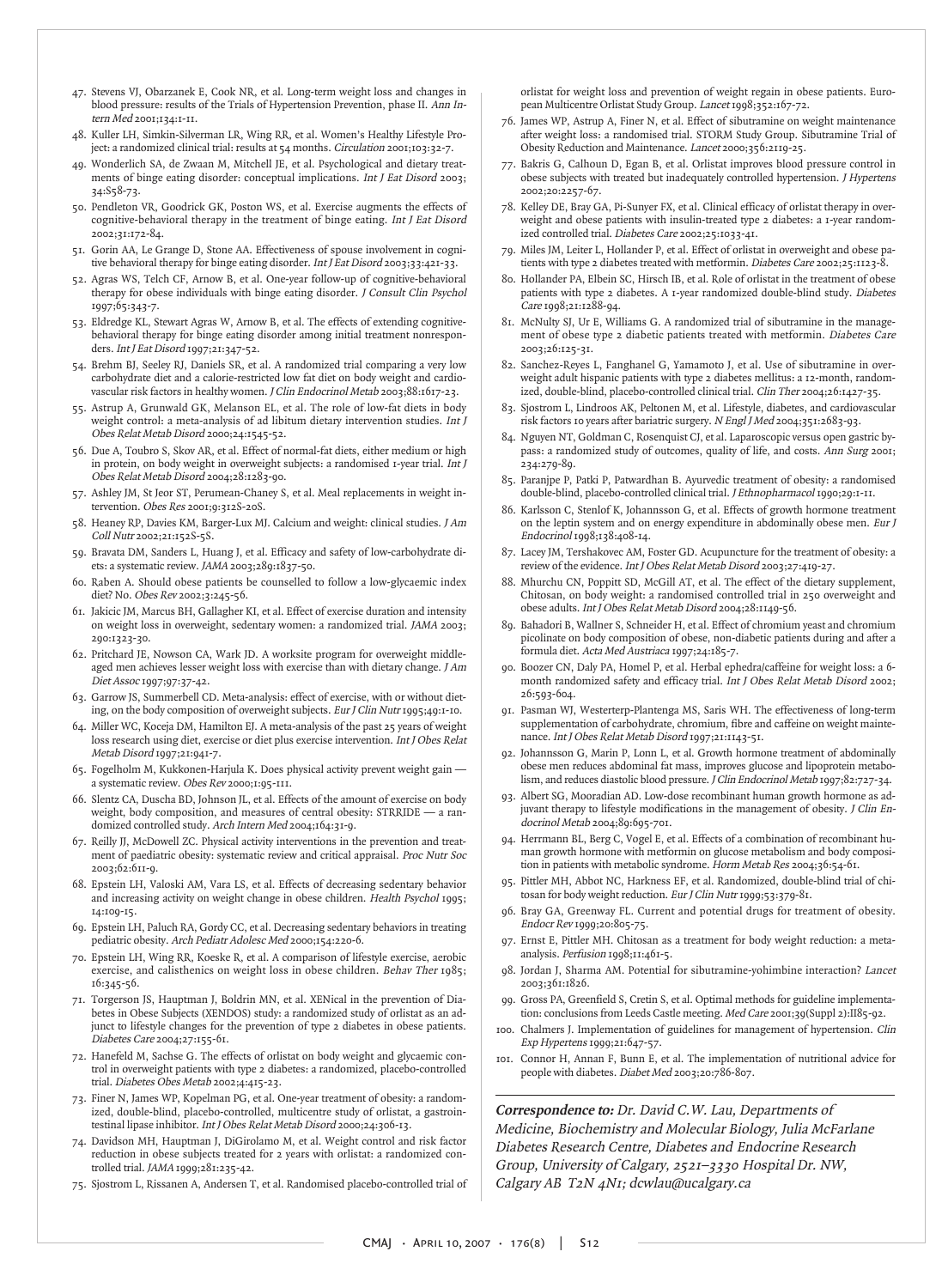- 47. Stevens VJ, Obarzanek E, Cook NR, et al. Long-term weight loss and changes in blood pressure: results of the Trials of Hypertension Prevention, phase II. Ann Intern Med 2001;134:1-11.
- 48. Kuller LH, Simkin-Silverman LR, Wing RR, et al. Women's Healthy Lifestyle Project: a randomized clinical trial: results at 54 months. Circulation 2001;103:32-7.
- 49. Wonderlich SA, de Zwaan M, Mitchell JE, et al. Psychological and dietary treatments of binge eating disorder: conceptual implications. Int J Eat Disord 2003; 34:S58-73.
- 50. Pendleton VR, Goodrick GK, Poston WS, et al. Exercise augments the effects of cognitive-behavioral therapy in the treatment of binge eating. Int J Eat Disord 2002;31:172-84.
- 51. Gorin AA, Le Grange D, Stone AA. Effectiveness of spouse involvement in cognitive behavioral therapy for binge eating disorder. Int J Eat Disord 2003;33:421-33.
- 52. Agras WS, Telch CF, Arnow B, et al. One-year follow-up of cognitive-behavioral therapy for obese individuals with binge eating disorder. J Consult Clin Psychol 1997;65:343-7.
- 53. Eldredge KL, Stewart Agras W, Arnow B, et al. The effects of extending cognitivebehavioral therapy for binge eating disorder among initial treatment nonresponders. Int J Eat Disord 1997;21:347-52.
- 54. Brehm BJ, Seeley RJ, Daniels SR, et al. A randomized trial comparing a very low carbohydrate diet and a calorie-restricted low fat diet on body weight and cardiovascular risk factors in healthy women. J Clin Endocrinol Metab 2003;88:1617-23.
- 55. Astrup A, Grunwald GK, Melanson EL, et al. The role of low-fat diets in body weight control: a meta-analysis of ad libitum dietary intervention studies. Int J Obes Relat Metab Disord 2000;24:1545-52.
- 56. Due A, Toubro S, Skov AR, et al. Effect of normal-fat diets, either medium or high in protein, on body weight in overweight subjects: a randomised 1-year trial. Int J Obes Relat Metab Disord 2004;28:1283-90.
- 57. Ashley JM, St Jeor ST, Perumean-Chaney S, et al. Meal replacements in weight intervention. Obes Res 2001;9:312S-20S.
- 58. Heaney RP, Davies KM, Barger-Lux MJ. Calcium and weight: clinical studies. J Am Coll Nutr 2002;21:152S-5S.
- 59. Bravata DM, Sanders L, Huang J, et al. Efficacy and safety of low-carbohydrate diets: a systematic review. JAMA 2003;289:1837-50.
- 60. Raben A. Should obese patients be counselled to follow a low-glycaemic index diet? No. Obes Rev 2002;3:245-56.
- 61. Jakicic JM, Marcus BH, Gallagher KI, et al. Effect of exercise duration and intensity on weight loss in overweight, sedentary women: a randomized trial. JAMA 2003; 290:1323-30.
- 62. Pritchard JE, Nowson CA, Wark JD. A worksite program for overweight middleaged men achieves lesser weight loss with exercise than with dietary change. J Am Diet Assoc 1997;97:37-42.
- 63. Garrow JS, Summerbell CD. Meta-analysis: effect of exercise, with or without dieting, on the body composition of overweight subjects. Eur J Clin Nutr 1995;49:1-10.
- 64. Miller WC, Koceja DM, Hamilton EJ. A meta-analysis of the past 25 years of weight loss research using diet, exercise or diet plus exercise intervention. Int J Obes Relat Metab Disord 1997;21:941-7.
- 65. Fogelholm M, Kukkonen-Harjula K. Does physical activity prevent weight gain a systematic review. Obes Rev 2000;1:95-111.
- 66. Slentz CA, Duscha BD, Johnson JL, et al. Effects of the amount of exercise on body weight, body composition, and measures of central obesity: STRRIDE — a randomized controlled study. Arch Intern Med 2004;164:31-9.
- 67. Reilly JJ, McDowell ZC. Physical activity interventions in the prevention and treatment of paediatric obesity: systematic review and critical appraisal. Proc Nutr Soc 2003;62:611-9.
- 68. Epstein LH, Valoski AM, Vara LS, et al. Effects of decreasing sedentary behavior and increasing activity on weight change in obese children. Health Psychol 1995; 14:109-15.
- 69. Epstein LH, Paluch RA, Gordy CC, et al. Decreasing sedentary behaviors in treating pediatric obesity. Arch Pediatr Adolesc Med 2000;154:220-6.
- 70. Epstein LH, Wing RR, Koeske R, et al. A comparison of lifestyle exercise, aerobic exercise, and calisthenics on weight loss in obese children. Behav Ther 1985; 16:345-56.
- 71. Torgerson JS, Hauptman J, Boldrin MN, et al. XENical in the prevention of Diabetes in Obese Subjects (XENDOS) study: a randomized study of orlistat as an adjunct to lifestyle changes for the prevention of type 2 diabetes in obese patients. Diabetes Care 2004;27:155-61.
- 72. Hanefeld M, Sachse G. The effects of orlistat on body weight and glycaemic control in overweight patients with type 2 diabetes: a randomized, placebo-controlled trial. Diabetes Obes Metab 2002;4:415-23.
- 73. Finer N, James WP, Kopelman PG, et al. One-year treatment of obesity: a randomized, double-blind, placebo-controlled, multicentre study of orlistat, a gastrointestinal lipase inhibitor. Int J Obes Relat Metab Disord 2000;24:306-13.
- 74. Davidson MH, Hauptman J, DiGirolamo M, et al. Weight control and risk factor reduction in obese subjects treated for 2 years with orlistat: a randomized controlled trial. JAMA 1999;281:235-42.
- 75. Sjostrom L, Rissanen A, Andersen T, et al. Randomised placebo-controlled trial of

orlistat for weight loss and prevention of weight regain in obese patients. European Multicentre Orlistat Study Group. Lancet 1998;352:167-72.

- 76. James WP, Astrup A, Finer N, et al. Effect of sibutramine on weight maintenance after weight loss: a randomised trial. STORM Study Group. Sibutramine Trial of Obesity Reduction and Maintenance. Lancet 2000;356:2119-25.
- 77. Bakris G, Calhoun D, Egan B, et al. Orlistat improves blood pressure control in obese subjects with treated but inadequately controlled hypertension. J Hypertens 2002;20:2257-67.
- 78. Kelley DE, Bray GA, Pi-Sunyer FX, et al. Clinical efficacy of orlistat therapy in overweight and obese patients with insulin-treated type 2 diabetes: a 1-year randomized controlled trial. Diabetes Care 2002;25:1033-41.
- 79. Miles JM, Leiter L, Hollander P, et al. Effect of orlistat in overweight and obese patients with type 2 diabetes treated with metformin. Diabetes Care 2002;25:1123-8.
- 80. Hollander PA, Elbein SC, Hirsch IB, et al. Role of orlistat in the treatment of obese patients with type 2 diabetes. A 1-year randomized double-blind study. Diabetes Care 1998;21:1288-94.
- 81. McNulty SJ, Ur E, Williams G. A randomized trial of sibutramine in the management of obese type 2 diabetic patients treated with metformin. Diabetes Care 2003;26:125-31.
- 82. Sanchez-Reyes L, Fanghanel G, Yamamoto J, et al. Use of sibutramine in overweight adult hispanic patients with type 2 diabetes mellitus: a 12-month, randomized, double-blind, placebo-controlled clinical trial. Clin Ther 2004;26:1427-35.
- 83. Sjostrom L, Lindroos AK, Peltonen M, et al. Lifestyle, diabetes, and cardiovascular risk factors 10 years after bariatric surgery. N Engl J Med 2004;351:2683-93.
- 84. Nguyen NT, Goldman C, Rosenquist CJ, et al. Laparoscopic versus open gastric bypass: a randomized study of outcomes, quality of life, and costs. Ann Surg 2001; 234:279-89.
- 85. Paranjpe P, Patki P, Patwardhan B. Ayurvedic treatment of obesity: a randomised double-blind, placebo-controlled clinical trial. *J Ethnopharmacol* 1990;29:1-11.
- 86. Karlsson C, Stenlof K, Johannsson G, et al. Effects of growth hormone treatment on the leptin system and on energy expenditure in abdominally obese men. Eur J Endocrinol 1998;138:408-14.
- 87. Lacey JM, Tershakovec AM, Foster GD. Acupuncture for the treatment of obesity: a review of the evidence. Int J Obes Relat Metab Disord 2003;27:419-27.
- 88. Mhurchu CN, Poppitt SD, McGill AT, et al. The effect of the dietary supplement, Chitosan, on body weight: a randomised controlled trial in 250 overweight and obese adults. Int J Obes Relat Metab Disord 2004;28:1149-56.
- 89. Bahadori B, Wallner S, Schneider H, et al. Effect of chromium yeast and chromium picolinate on body composition of obese, non-diabetic patients during and after a formula diet. Acta Med Austriaca 1997;24:185-7.
- 90. Boozer CN, Daly PA, Homel P, et al. Herbal ephedra/caffeine for weight loss: a 6 month randomized safety and efficacy trial. Int J Obes Relat Metab Disord 2002; 26:593-604.
- 91. Pasman WJ, Westerterp-Plantenga MS, Saris WH. The effectiveness of long-term supplementation of carbohydrate, chromium, fibre and caffeine on weight maintenance. Int J Obes Relat Metab Disord 1997;21:1143-51.
- 92. Johannsson G, Marin P, Lonn L, et al. Growth hormone treatment of abdominally obese men reduces abdominal fat mass, improves glucose and lipoprotein metabolism, and reduces diastolic blood pressure. J Clin Endocrinol Metab 1997;82:727-34.
- 93. Albert SG, Mooradian AD. Low-dose recombinant human growth hormone as adjuvant therapy to lifestyle modifications in the management of obesity. J Clin Endocrinol Metab 2004;89:695-701.
- 94. Herrmann BL, Berg C, Vogel E, et al. Effects of a combination of recombinant human growth hormone with metformin on glucose metabolism and body composition in patients with metabolic syndrome. Horm Metab Res 2004;36:54-61.
- 95. Pittler MH, Abbot NC, Harkness EF, et al. Randomized, double-blind trial of chitosan for body weight reduction. Eur J Clin Nutr 1999;53:379-81.
- 96. Bray GA, Greenway FL. Current and potential drugs for treatment of obesity. Endocr Rev 1999;20:805-75.
- 97. Ernst E, Pittler MH. Chitosan as a treatment for body weight reduction: a metaanalysis. Perfusion 1998;11:461-5.
- 98. Jordan J, Sharma AM. Potential for sibutramine-yohimbine interaction? Lancet 2003;361:1826.
- 99. Gross PA, Greenfield S, Cretin S, et al. Optimal methods for guideline implementation: conclusions from Leeds Castle meeting. Med Care 2001;39(Suppl 2):II85-92.
- 100. Chalmers J. Implementation of guidelines for management of hypertension. Clin Exp Hypertens 1999;21:647-57.
- Connor H, Annan F, Bunn E, et al. The implementation of nutritional advice for people with diabetes. Diabet Med 2003;20:786-807.

**Correspondence to:** Dr. David C.W. Lau, Departments of Medicine, Biochemistry and Molecular Biology, Julia McFarlane Diabetes Research Centre, Diabetes and Endocrine Research Group, University of Calgary, 2521–3330 Hospital Dr. NW, Calgary AB T2N 4N1; dcwlau@ucalgary.ca